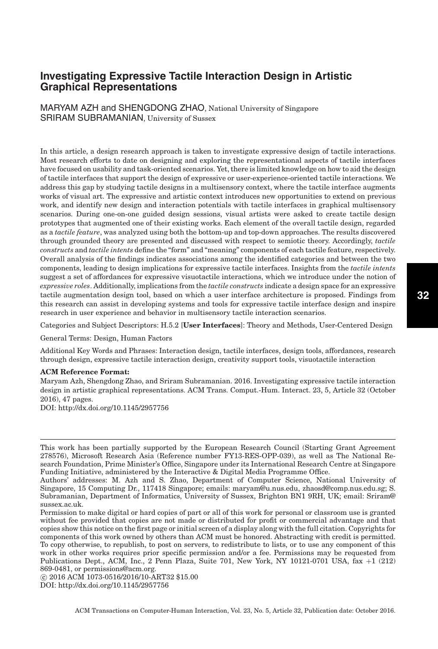MARYAM AZH and SHENGDONG ZHAO, National University of Singapore SRIRAM SUBRAMANIAN, University of Sussex

In this article, a design research approach is taken to investigate expressive design of tactile interactions. Most research efforts to date on designing and exploring the representational aspects of tactile interfaces have focused on usability and task-oriented scenarios. Yet, there is limited knowledge on how to aid the design of tactile interfaces that support the design of expressive or user-experience-oriented tactile interactions. We address this gap by studying tactile designs in a multisensory context, where the tactile interface augments works of visual art. The expressive and artistic context introduces new opportunities to extend on previous work, and identify new design and interaction potentials with tactile interfaces in graphical multisensory scenarios. During one-on-one guided design sessions, visual artists were asked to create tactile design prototypes that augmented one of their existing works. Each element of the overall tactile design, regarded as a *tactile feature*, was analyzed using both the bottom-up and top-down approaches. The results discovered through grounded theory are presented and discussed with respect to semiotic theory. Accordingly, *tactile constructs* and *tactile intents* define the "form" and "meaning" components of each tactile feature, respectively. Overall analysis of the findings indicates associations among the identified categories and between the two components, leading to design implications for expressive tactile interfaces. Insights from the *tactile intents* suggest a set of affordances for expressive visuotactile interactions, which we introduce under the notion of *expressive roles*. Additionally, implications from the *tactile constructs* indicate a design space for an expressive tactile augmentation design tool, based on which a user interface architecture is proposed. Findings from this research can assist in developing systems and tools for expressive tactile interface design and inspire research in user experience and behavior in multisensory tactile interaction scenarios.

Categories and Subject Descriptors: H.5.2 [**User Interfaces**]: Theory and Methods, User-Centered Design

General Terms: Design, Human Factors

Additional Key Words and Phrases: Interaction design, tactile interfaces, design tools, affordances, research through design, expressive tactile interaction design, creativity support tools, visuotactile interaction

#### **ACM Reference Format:**

Maryam Azh, Shengdong Zhao, and Sriram Subramanian. 2016. Investigating expressive tactile interaction design in artistic graphical representations. ACM Trans. Comput.-Hum. Interact. 23, 5, Article 32 (October 2016), 47 pages.

DOI:<http://dx.doi.org/10.1145/2957756>

-c 2016 ACM 1073-0516/2016/10-ART32 \$15.00

DOI:<http://dx.doi.org/10.1145/2957756>

This work has been partially supported by the European Research Council (Starting Grant Agreement 278576), Microsoft Research Asia (Reference number FY13-RES-OPP-039), as well as The National Research Foundation, Prime Minister's Office, Singapore under its International Research Centre at Singapore Funding Initiative, administered by the Interactive & Digital Media Programme Office.

Authors' addresses: M. Azh and S. Zhao, Department of Computer Science, National University of Singapore, 15 Computing Dr., 117418 Singapore; emails: maryam@u.nus.edu, zhaosd@comp.nus.edu.sg; S. Subramanian, Department of Informatics, University of Sussex, Brighton BN1 9RH, UK; email: Sriram@ sussex.ac.uk.

Permission to make digital or hard copies of part or all of this work for personal or classroom use is granted without fee provided that copies are not made or distributed for profit or commercial advantage and that copies show this notice on the first page or initial screen of a display along with the full citation. Copyrights for components of this work owned by others than ACM must be honored. Abstracting with credit is permitted. To copy otherwise, to republish, to post on servers, to redistribute to lists, or to use any component of this work in other works requires prior specific permission and/or a fee. Permissions may be requested from Publications Dept., ACM, Inc., 2 Penn Plaza, Suite 701, New York, NY 10121-0701 USA, fax +1 (212) 869-0481, or permissions@acm.org.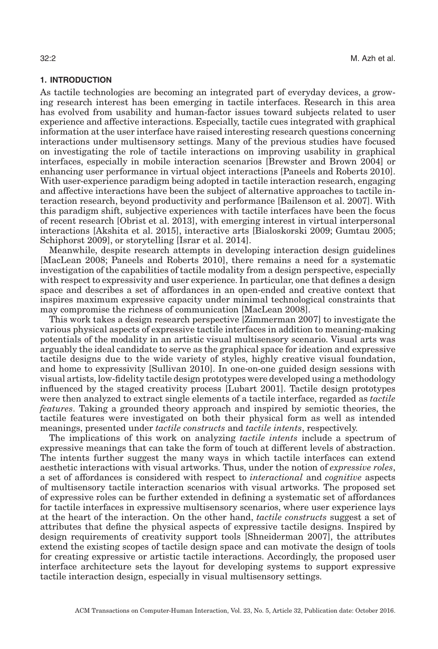# **1. INTRODUCTION**

As tactile technologies are becoming an integrated part of everyday devices, a growing research interest has been emerging in tactile interfaces. Research in this area has evolved from usability and human-factor issues toward subjects related to user experience and affective interactions. Especially, tactile cues integrated with graphical information at the user interface have raised interesting research questions concerning interactions under multisensory settings. Many of the previous studies have focused on investigating the role of tactile interactions on improving usability in graphical interfaces, especially in mobile interaction scenarios [\[Brewster and Brown 2004\]](#page-42-0) or enhancing user performance in virtual object interactions [\[Paneels and Roberts 2010\]](#page-45-0). With user-experience paradigm being adopted in tactile interaction research, engaging and affective interactions have been the subject of alternative approaches to tactile interaction research, beyond productivity and performance [\[Bailenson et al. 2007\]](#page-42-1). With this paradigm shift, subjective experiences with tactile interfaces have been the focus of recent research [\[Obrist et al. 2013\]](#page-44-0), with emerging interest in virtual interpersonal interactions [\[Akshita et al. 2015\]](#page-42-2), interactive arts [\[Bialoskorski 2009;](#page-42-3) [Gumtau 2005;](#page-43-0) [Schiphorst 2009\]](#page-45-1), or storytelling [\[Israr et al. 2014\]](#page-44-1).

Meanwhile, despite research attempts in developing interaction design guidelines [\[MacLean 2008;](#page-44-2) [Paneels and Roberts 2010\]](#page-45-0), there remains a need for a systematic investigation of the capabilities of tactile modality from a design perspective, especially with respect to expressivity and user experience. In particular, one that defines a design space and describes a set of affordances in an open-ended and creative context that inspires maximum expressive capacity under minimal technological constraints that may compromise the richness of communication [\[MacLean 2008\]](#page-44-2).

This work takes a design research perspective [\[Zimmerman 2007\]](#page-46-0) to investigate the various physical aspects of expressive tactile interfaces in addition to meaning-making potentials of the modality in an artistic visual multisensory scenario. Visual arts was arguably the ideal candidate to serve as the graphical space for ideation and expressive tactile designs due to the wide variety of styles, highly creative visual foundation, and home to expressivity [\[Sullivan 2010\]](#page-45-2). In one-on-one guided design sessions with visual artists, low-fidelity tactile design prototypes were developed using a methodology influenced by the staged creativity process [\[Lubart 2001\]](#page-44-3). Tactile design prototypes were then analyzed to extract single elements of a tactile interface, regarded as *tactile features*. Taking a grounded theory approach and inspired by semiotic theories, the tactile features were investigated on both their physical form as well as intended meanings, presented under *tactile constructs* and *tactile intents*, respectively.

The implications of this work on analyzing *tactile intents* include a spectrum of expressive meanings that can take the form of touch at different levels of abstraction. The intents further suggest the many ways in which tactile interfaces can extend aesthetic interactions with visual artworks. Thus, under the notion of *expressive roles*, a set of affordances is considered with respect to *interactional* and *cognitive* aspects of multisensory tactile interaction scenarios with visual artworks. The proposed set of expressive roles can be further extended in defining a systematic set of affordances for tactile interfaces in expressive multisensory scenarios, where user experience lays at the heart of the interaction. On the other hand, *tactile constructs* suggest a set of attributes that define the physical aspects of expressive tactile designs. Inspired by design requirements of creativity support tools [\[Shneiderman 2007\]](#page-45-3), the attributes extend the existing scopes of tactile design space and can motivate the design of tools for creating expressive or artistic tactile interactions. Accordingly, the proposed user interface architecture sets the layout for developing systems to support expressive tactile interaction design, especially in visual multisensory settings.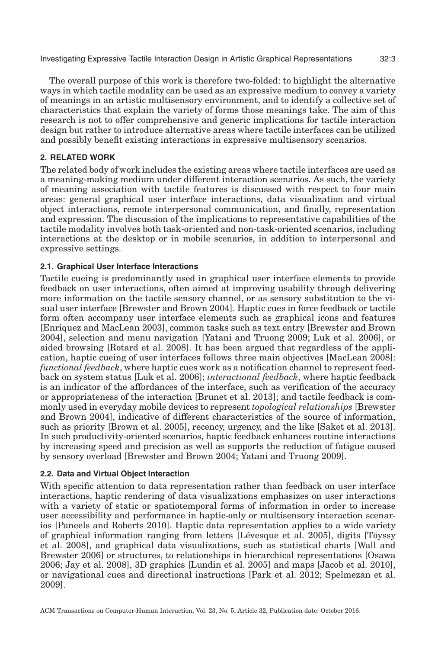The overall purpose of this work is therefore two-folded: to highlight the alternative ways in which tactile modality can be used as an expressive medium to convey a variety of meanings in an artistic multisensory environment, and to identify a collective set of characteristics that explain the variety of forms those meanings take. The aim of this research is not to offer comprehensive and generic implications for tactile interaction design but rather to introduce alternative areas where tactile interfaces can be utilized and possibly benefit existing interactions in expressive multisensory scenarios.

# **2. RELATED WORK**

The related body of work includes the existing areas where tactile interfaces are used as a meaning-making medium under different interaction scenarios. As such, the variety of meaning association with tactile features is discussed with respect to four main areas: general graphical user interface interactions, data visualization and virtual object interactions, remote interpersonal communication, and finally, representation and expression. The discussion of the implications to representative capabilities of the tactile modality involves both task-oriented and non-task-oriented scenarios, including interactions at the desktop or in mobile scenarios, in addition to interpersonal and expressive settings.

# **2.1. Graphical User Interface Interactions**

Tactile cueing is predominantly used in graphical user interface elements to provide feedback on user interactions, often aimed at improving usability through delivering more information on the tactile sensory channel, or as sensory substitution to the visual user interface [\[Brewster and Brown 2004\]](#page-42-0). Haptic cues in force feedback or tactile form often accompany user interface elements such as graphical icons and features [\[Enriquez and MacLean 2003\]](#page-43-1), common tasks such as text entry [\[Brewster and Brown](#page-42-0) [2004\]](#page-42-0), selection and menu navigation [\[Yatani and Truong 2009;](#page-46-1) [Luk et al. 2006\]](#page-44-4), or aided browsing [\[Rotard et al. 2008\]](#page-45-4). It has been argued that regardless of the application, haptic cueing of user interfaces follows three main objectives [\[MacLean 2008\]](#page-44-2): *functional feedback*, where haptic cues work as a notification channel to represent feedback on system status [\[Luk et al. 2006\]](#page-44-4); *interactional feedback*, where haptic feedback is an indicator of the affordances of the interface, such as verification of the accuracy or appropriateness of the interaction [\[Brunet et al. 2013\]](#page-43-2); and tactile feedback is commonly used in everyday mobile devices to represent *topological relationships* [\[Brewster](#page-42-0) [and Brown 2004\]](#page-42-0), indicative of different characteristics of the source of information, such as priority [\[Brown et al. 2005\]](#page-43-3), recency, urgency, and the like [\[Saket et al. 2013\]](#page-45-5). In such productivity-oriented scenarios, haptic feedback enhances routine interactions by increasing speed and precision as well as supports the reduction of fatigue caused by sensory overload [\[Brewster and Brown 2004;](#page-42-0) [Yatani and Truong 2009\]](#page-46-1).

# **2.2. Data and Virtual Object Interaction**

With specific attention to data representation rather than feedback on user interface interactions, haptic rendering of data visualizations emphasizes on user interactions with a variety of static or spatiotemporal forms of information in order to increase user accessibility and performance in haptic-only or multisensory interaction scenarios [\[Paneels and Roberts 2010\]](#page-45-0). Haptic data representation applies to a wide variety of graphical information ranging from letters [Lévesque et al. 2005], digits [T[oyssy](#page-46-2) [et al. 2008\]](#page-46-2), and graphical data visualizations, such as statistical charts [\[Wall and](#page-46-3) [Brewster 2006\]](#page-46-3) or structures, to relationships in hierarchical representations [\[Osawa](#page-45-6) [2006;](#page-45-6) [Jay et al. 2008\]](#page-44-6), 3D graphics [\[Lundin et al. 2005\]](#page-44-7) and maps [\[Jacob et al. 2010\]](#page-44-8), or navigational cues and directional instructions [\[Park et al. 2012;](#page-45-7) [Spelmezan et al.](#page-45-8) [2009\]](#page-45-8).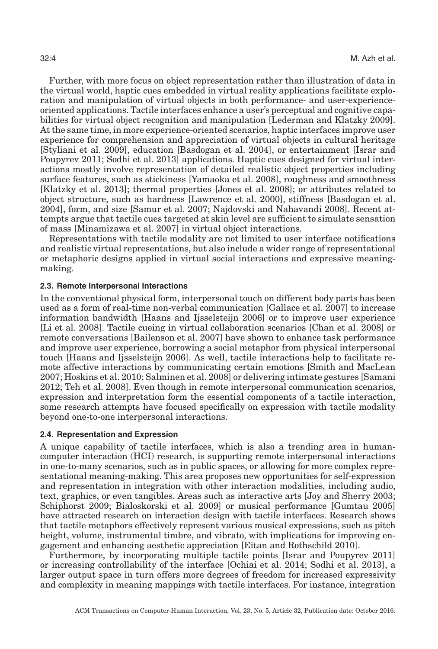Further, with more focus on object representation rather than illustration of data in the virtual world, haptic cues embedded in virtual reality applications facilitate exploration and manipulation of virtual objects in both performance- and user-experienceoriented applications. Tactile interfaces enhance a user's perceptual and cognitive capabilities for virtual object recognition and manipulation [\[Lederman and Klatzky 2009\]](#page-44-9). At the same time, in more experience-oriented scenarios, haptic interfaces improve user experience for comprehension and appreciation of virtual objects in cultural heritage [\[Styliani et al. 2009\]](#page-45-9), education [\[Basdogan et al. 2004\]](#page-42-4), or entertainment [\[Israr and](#page-44-10) [Poupyrev 2011;](#page-44-10) [Sodhi et al. 2013\]](#page-45-10) applications. Haptic cues designed for virtual interactions mostly involve representation of detailed realistic object properties including surface features, such as stickiness [\[Yamaoka et al. 2008\]](#page-46-4), roughness and smoothness [\[Klatzky et al. 2013\]](#page-44-11); thermal properties [\[Jones et al. 2008\]](#page-44-6); or attributes related to object structure, such as hardness [\[Lawrence et al. 2000\]](#page-44-12), stiffness [\[Basdogan et al.](#page-42-4) [2004\]](#page-42-4), form, and size [\[Samur et al. 2007;](#page-45-11) [Najdovski and Nahavandi 2008\]](#page-44-13). Recent attempts argue that tactile cues targeted at skin level are sufficient to simulate sensation of mass [\[Minamizawa et al. 2007\]](#page-44-14) in virtual object interactions.

Representations with tactile modality are not limited to user interface notifications and realistic virtual representations, but also include a wider range of representational or metaphoric designs applied in virtual social interactions and expressive meaningmaking.

# **2.3. Remote Interpersonal Interactions**

In the conventional physical form, interpersonal touch on different body parts has been used as a form of real-time non-verbal communication [\[Gallace et al. 2007\]](#page-43-4) to increase information bandwidth [\[Haans and Ijsselsteijn 2006\]](#page-43-5) or to improve user experience [\[Li et al. 2008\]](#page-44-15). Tactile cueing in virtual collaboration scenarios [\[Chan et al. 2008\]](#page-43-6) or remote conversations [\[Bailenson et al. 2007\]](#page-42-1) have shown to enhance task performance and improve user experience, borrowing a social metaphor from physical interpersonal touch [\[Haans and Ijsselsteijn 2006\]](#page-43-5). As well, tactile interactions help to facilitate remote affective interactions by communicating certain emotions [Smith and MacLean 2007; [Hoskins et al. 2010;](#page-43-7) [Salminen et al. 2008\]](#page-45-12) or delivering intimate gestures [\[Samani](#page-45-13) [2012;](#page-45-13) [Teh et al. 2008\]](#page-45-14). Even though in remote interpersonal communication scenarios, expression and interpretation form the essential components of a tactile interaction, some research attempts have focused specifically on expression with tactile modality beyond one-to-one interpersonal interactions.

#### **2.4. Representation and Expression**

A unique capability of tactile interfaces, which is also a trending area in humancomputer interaction (HCI) research, is supporting remote interpersonal interactions in one-to-many scenarios, such as in public spaces, or allowing for more complex representational meaning-making. This area proposes new opportunities for self-expression and representation in integration with other interaction modalities, including audio, text, graphics, or even tangibles. Areas such as interactive arts [\[Joy and Sherry 2003;](#page-44-16) [Schiphorst 2009;](#page-45-1) [Bialoskorski et al. 2009\]](#page-42-3) or musical performance [\[Gumtau 2005\]](#page-43-0) have attracted research on interaction design with tactile interfaces. Research shows that tactile metaphors effectively represent various musical expressions, such as pitch height, volume, instrumental timbre, and vibrato, with implications for improving engagement and enhancing aesthetic appreciation [\[Eitan and Rothschild 2010\]](#page-43-8).

Furthermore, by incorporating multiple tactile points [\[Israr and Poupyrev 2011\]](#page-44-10) or increasing controllability of the interface [\[Ochiai et al. 2014;](#page-45-15) [Sodhi et al. 2013\]](#page-45-10), a larger output space in turn offers more degrees of freedom for increased expressivity and complexity in meaning mappings with tactile interfaces. For instance, integration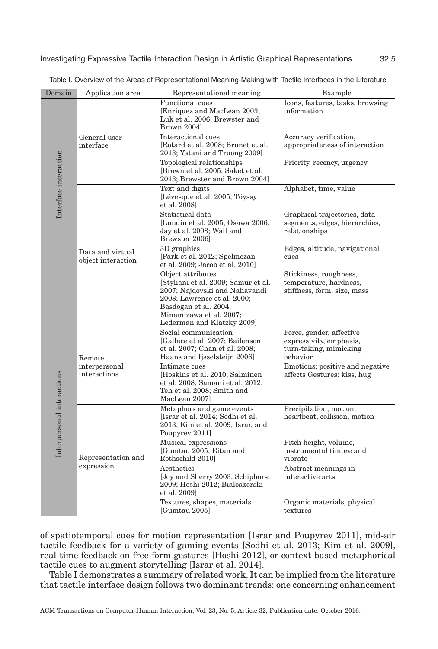<span id="page-4-0"></span>

| Domain                     | Application area                        | Representational meaning                                                                                                                                                                                  | Example                                                                                   |  |
|----------------------------|-----------------------------------------|-----------------------------------------------------------------------------------------------------------------------------------------------------------------------------------------------------------|-------------------------------------------------------------------------------------------|--|
| Interface interaction      |                                         | <b>Functional</b> cues<br>[Enriquez and MacLean 2003;<br>Luk et al. 2006; Brewster and<br>Brown 2004]                                                                                                     | Icons, features, tasks, browsing<br>information                                           |  |
|                            | General user<br>interface               | Interactional cues<br>[Rotard et al. 2008; Brunet et al.<br>2013; Yatani and Truong 2009]                                                                                                                 | Accuracy verification,<br>appropriateness of interaction                                  |  |
|                            |                                         | Topological relationships<br>[Brown et al. 2005; Saket et al.<br>2013; Brewster and Brown 2004]                                                                                                           | Priority, recency, urgency                                                                |  |
|                            |                                         | Text and digits<br>[Lévesque et al. 2005; Töyssy<br>et al. 2008]                                                                                                                                          | Alphabet, time, value                                                                     |  |
|                            | Data and virtual<br>object interaction  | Statistical data<br>[Lundin et al. 2005; Osawa 2006;<br>Jay et al. 2008; Wall and<br>Brewster 2006l                                                                                                       | Graphical trajectories, data<br>segments, edges, hierarchies,<br>relationships            |  |
|                            |                                         | 3D graphics<br>[Park et al. 2012; Spelmezan<br>et al. 2009; Jacob et al. 2010]                                                                                                                            | Edges, altitude, navigational<br>cues                                                     |  |
|                            |                                         | Object attributes<br>[Styliani et al. 2009; Samur et al.<br>2007; Najdovski and Nahavandi<br>2008; Lawrence et al. 2000;<br>Basdogan et al. 2004;<br>Minamizawa et al. 2007;<br>Lederman and Klatzky 2009 | Stickiness, roughness,<br>temperature, hardness,<br>stiffness, form, size, mass           |  |
| Interpersonal interactions | Remote<br>interpersonal<br>interactions | Social communication<br>[Gallace et al. 2007; Bailenson<br>et al. 2007; Chan et al. 2008;<br>Haans and Ijsselsteijn 2006]                                                                                 | Force, gender, affective<br>expressivity, emphasis,<br>turn-taking, mimicking<br>behavior |  |
|                            |                                         | Intimate cues<br>[Hoskins et al. 2010; Salminen]<br>et al. 2008; Samani et al. 2012;<br>Teh et al. 2008; Smith and<br>MacLean 2007]                                                                       | Emotions: positive and negative<br>affects Gestures: kiss, hug                            |  |
|                            | Representation and<br>expression        | Metaphors and game events<br>[Israr et al. 2014; Sodhi et al.<br>2013; Kim et al. 2009; Israr, and<br>Poupyrev 2011]                                                                                      | Precipitation, motion,<br>heartbeat, collision, motion                                    |  |
|                            |                                         | Musical expressions<br>[Gumtau 2005; Eitan and<br>Rothschild 2010l                                                                                                                                        | Pitch height, volume,<br>instrumental timbre and<br>vibrato                               |  |
|                            |                                         | Aesthetics<br>[Joy and Sherry 2003; Schiphorst]<br>2009; Hoshi 2012; Bialoskorski<br>et al. 2009]                                                                                                         | Abstract meanings in<br>interactive arts                                                  |  |
|                            |                                         | Textures, shapes, materials<br>[Gumtau 2005]                                                                                                                                                              | Organic materials, physical<br>textures                                                   |  |

Table I. Overview of the Areas of Representational Meaning-Making with Tactile Interfaces in the Literature

of spatiotemporal cues for motion representation [\[Israr and Poupyrev 2011\]](#page-44-10), mid-air tactile feedback for a variety of gaming events [\[Sodhi et al. 2013;](#page-45-10) [Kim et al. 2009\]](#page-44-17), real-time feedback on free-form gestures [\[Hoshi 2012\]](#page-43-9), or context-based metaphorical tactile cues to augment storytelling [\[Israr et al. 2014\]](#page-44-1).

Table [I](#page-4-0) demonstrates a summary of related work. It can be implied from the literature that tactile interface design follows two dominant trends: one concerning enhancement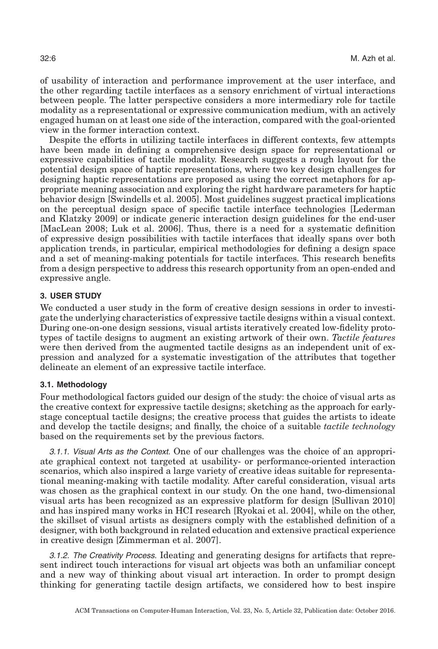of usability of interaction and performance improvement at the user interface, and the other regarding tactile interfaces as a sensory enrichment of virtual interactions between people. The latter perspective considers a more intermediary role for tactile modality as a representational or expressive communication medium, with an actively engaged human on at least one side of the interaction, compared with the goal-oriented view in the former interaction context.

Despite the efforts in utilizing tactile interfaces in different contexts, few attempts have been made in defining a comprehensive design space for representational or expressive capabilities of tactile modality. Research suggests a rough layout for the potential design space of haptic representations, where two key design challenges for designing haptic representations are proposed as using the correct metaphors for appropriate meaning association and exploring the right hardware parameters for haptic behavior design [Swindells et al. 2005]. Most guidelines suggest practical implications on the perceptual design space of specific tactile interface technologies [\[Lederman](#page-44-9) [and Klatzky 2009\]](#page-44-9) or indicate generic interaction design guidelines for the end-user [\[MacLean 2008;](#page-44-2) [Luk et al. 2006\]](#page-44-4). Thus, there is a need for a systematic definition of expressive design possibilities with tactile interfaces that ideally spans over both application trends, in particular, empirical methodologies for defining a design space and a set of meaning-making potentials for tactile interfaces. This research benefits from a design perspective to address this research opportunity from an open-ended and expressive angle.

# **3. USER STUDY**

We conducted a user study in the form of creative design sessions in order to investigate the underlying characteristics of expressive tactile designs within a visual context. During one-on-one design sessions, visual artists iteratively created low-fidelity prototypes of tactile designs to augment an existing artwork of their own. *Tactile features* were then derived from the augmented tactile designs as an independent unit of expression and analyzed for a systematic investigation of the attributes that together delineate an element of an expressive tactile interface.

#### **3.1. Methodology**

Four methodological factors guided our design of the study: the choice of visual arts as the creative context for expressive tactile designs; sketching as the approach for earlystage conceptual tactile designs; the creative process that guides the artists to ideate and develop the tactile designs; and finally, the choice of a suitable *tactile technology* based on the requirements set by the previous factors.

3.1.1. Visual Arts as the Context. One of our challenges was the choice of an appropriate graphical context not targeted at usability- or performance-oriented interaction scenarios, which also inspired a large variety of creative ideas suitable for representational meaning-making with tactile modality. After careful consideration, visual arts was chosen as the graphical context in our study. On the one hand, two-dimensional visual arts has been recognized as an expressive platform for design [\[Sullivan 2010\]](#page-45-2) and has inspired many works in HCI research [\[Ryokai et al. 2004\]](#page-45-16), while on the other, the skillset of visual artists as designers comply with the established definition of a designer, with both background in related education and extensive practical experience in creative design [\[Zimmerman et al. 2007\]](#page-46-0).

3.1.2. The Creativity Process. Ideating and generating designs for artifacts that represent indirect touch interactions for visual art objects was both an unfamiliar concept and a new way of thinking about visual art interaction. In order to prompt design thinking for generating tactile design artifacts, we considered how to best inspire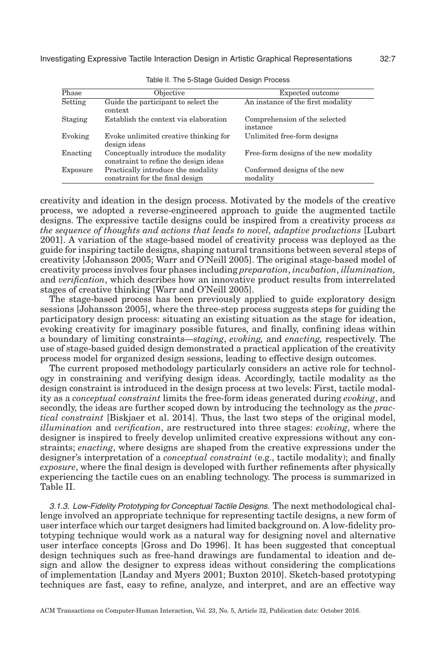<span id="page-6-0"></span>

| Phase    | Objective                                                                    | Expected outcome                          |
|----------|------------------------------------------------------------------------------|-------------------------------------------|
| Setting  | Guide the participant to select the<br>context                               | An instance of the first modality         |
| Staging  | Establish the context via elaboration                                        | Comprehension of the selected<br>instance |
| Evoking  | Evoke unlimited creative thinking for<br>design ideas                        | Unlimited free-form designs               |
| Enacting | Conceptually introduce the modality<br>constraint to refine the design ideas | Free-form designs of the new modality     |
| Exposure | Practically introduce the modality<br>constraint for the final design        | Conformed designs of the new<br>modality  |

Table II. The 5-Stage Guided Design Process

creativity and ideation in the design process. Motivated by the models of the creative process, we adopted a reverse-engineered approach to guide the augmented tactile designs. The expressive tactile designs could be inspired from a creativity process *as the sequence of thoughts and actions that leads to novel, adaptive productions* [\[Lubart](#page-44-3) [2001\]](#page-44-3). A variation of the stage-based model of creativity process was deployed as the guide for inspiring tactile designs, shaping natural transitions between several steps of creativity [\[Johansson 2005;](#page-44-18) Warr and O['Neill 2005\]](#page-46-5). The original stage-based model of creativity process involves four phases including *preparation*, *incubation*, *illumination,* and *verification*, which describes how an innovative product results from interrelated stages of creative thinking [Warr and O['Neill 2005\]](#page-46-5).

The stage-based process has been previously applied to guide exploratory design sessions [\[Johansson 2005\]](#page-44-18), where the three-step process suggests steps for guiding the participatory design process: situating an existing situation as the stage for ideation, evoking creativity for imaginary possible futures, and finally, confining ideas within a boundary of limiting constraints—*staging*, *evoking,* and *enacting,* respectively. The use of stage-based guided design demonstrated a practical application of the creativity process model for organized design sessions, leading to effective design outcomes.

The current proposed methodology particularly considers an active role for technology in constraining and verifying design ideas. Accordingly, tactile modality as the design constraint is introduced in the design process at two levels: First, tactile modality as a *conceptual constraint* limits the free-form ideas generated during *evoking*, and secondly, the ideas are further scoped down by introducing the technology as the *practical constraint* [\[Biskjaer et al. 2014\]](#page-42-5). Thus, the last two steps of the original model, *illumination* and *verification*, are restructured into three stages: *evoking*, where the designer is inspired to freely develop unlimited creative expressions without any constraints; *enacting*, where designs are shaped from the creative expressions under the designer's interpretation of a *conceptual constraint* (e.g., tactile modality); and finally *exposure*, where the final design is developed with further refinements after physically experiencing the tactile cues on an enabling technology. The process is summarized in Table [II.](#page-6-0)

3.1.3. Low-Fidelity Prototyping for Conceptual Tactile Designs. The next methodological challenge involved an appropriate technique for representing tactile designs, a new form of user interface which our target designers had limited background on. A low-fidelity prototyping technique would work as a natural way for designing novel and alternative user interface concepts [Gross and Do 1996]. It has been suggested that conceptual design techniques such as free-hand drawings are fundamental to ideation and design and allow the designer to express ideas without considering the complications of implementation [\[Landay and Myers 2001;](#page-44-19) [Buxton 2010\]](#page-43-10). Sketch-based prototyping techniques are fast, easy to refine, analyze, and interpret, and are an effective way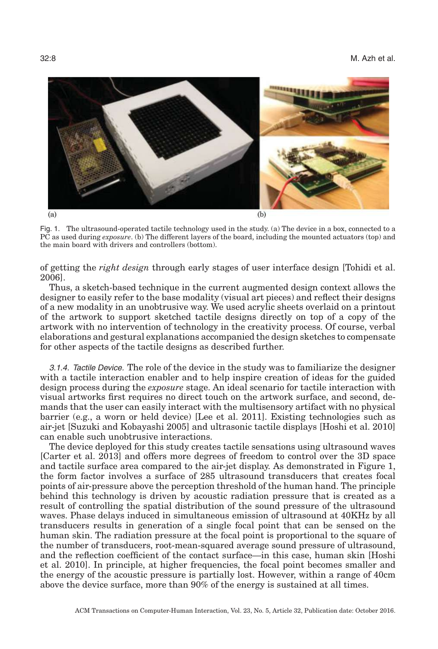<span id="page-7-0"></span>

Fig. 1. The ultrasound-operated tactile technology used in the study. (a) The device in a box, connected to a PC as used during *exposure*. (b) The different layers of the board, including the mounted actuators (top) and the main board with drivers and controllers (bottom).

of getting the *right design* through early stages of user interface design [\[Tohidi et al.](#page-46-6) [2006\]](#page-46-6).

Thus, a sketch-based technique in the current augmented design context allows the designer to easily refer to the base modality (visual art pieces) and reflect their designs of a new modality in an unobtrusive way. We used acrylic sheets overlaid on a printout of the artwork to support sketched tactile designs directly on top of a copy of the artwork with no intervention of technology in the creativity process. Of course, verbal elaborations and gestural explanations accompanied the design sketches to compensate for other aspects of the tactile designs as described further.

3.1.4. Tactile Device. The role of the device in the study was to familiarize the designer with a tactile interaction enabler and to help inspire creation of ideas for the guided design process during the *exposure* stage. An ideal scenario for tactile interaction with visual artworks first requires no direct touch on the artwork surface, and second, demands that the user can easily interact with the multisensory artifact with no physical barrier (e.g., a worn or held device) [\[Lee et al. 2011\]](#page-44-20). Existing technologies such as air-jet [\[Suzuki and Kobayashi 2005\]](#page-45-17) and ultrasonic tactile displays [\[Hoshi et al. 2010\]](#page-43-11) can enable such unobtrusive interactions.

The device deployed for this study creates tactile sensations using ultrasound waves [\[Carter et al. 2013\]](#page-43-12) and offers more degrees of freedom to control over the 3D space and tactile surface area compared to the air-jet display. As demonstrated in Figure [1,](#page-7-0) the form factor involves a surface of 285 ultrasound transducers that creates focal points of air-pressure above the perception threshold of the human hand. The principle behind this technology is driven by acoustic radiation pressure that is created as a result of controlling the spatial distribution of the sound pressure of the ultrasound waves. Phase delays induced in simultaneous emission of ultrasound at 40KHz by all transducers results in generation of a single focal point that can be sensed on the human skin. The radiation pressure at the focal point is proportional to the square of the number of transducers, root-mean-squared average sound pressure of ultrasound, and the reflection coefficient of the contact surface—in this case, human skin [\[Hoshi](#page-43-11) [et al. 2010\]](#page-43-11). In principle, at higher frequencies, the focal point becomes smaller and the energy of the acoustic pressure is partially lost. However, within a range of 40cm above the device surface, more than 90% of the energy is sustained at all times.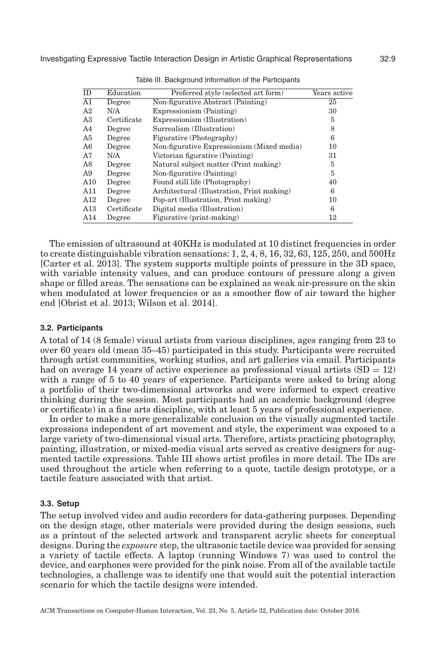<span id="page-8-0"></span>

| ID              | Education   | Preferred style (selected art form)        | Years active |
|-----------------|-------------|--------------------------------------------|--------------|
| $\overline{A1}$ | Degree      | Non-figurative Abstract (Painting)         | 25           |
| A2              | N/A         | Expressionism (Painting)                   | 30           |
| A3              | Certificate | Expressionism (Illustration)               | 5            |
| A4              | Degree      | Surrealism (Illustration)                  | 8            |
| A5              | Degree      | Figurative (Photography)                   | 6            |
| A6              | Degree      | Non-figurative Expressionism (Mixed media) | 10           |
| A7              | N/A         | Victorian figurative (Painting)            | 31           |
| A8              | Degree      | Natural subject matter (Print making)      | 5            |
| A9              | Degree      | Non-figurative (Painting)                  | 5            |
| $\rm A10$       | Degree      | Found still life (Photography)             | 40           |
| A11             | Degree      | Architectural (Illustration, Print making) | 6            |
| A12             | Degree      | Pop-art (Illustration, Print making)       | 10           |
| A13             | Certificate | Digital media (Illustration)               | 6            |
| A14             | Degree      | Figurative (print-making)                  | 12           |

Table III. Background Information of the Participants

The emission of ultrasound at 40KHz is modulated at 10 distinct frequencies in order to create distinguishable vibration sensations: 1, 2, 4, 8, 16, 32, 63, 125, 250, and 500Hz [\[Carter et al. 2013\]](#page-43-12). The system supports multiple points of pressure in the 3D space, with variable intensity values, and can produce contours of pressure along a given shape or filled areas. The sensations can be explained as weak air-pressure on the skin when modulated at lower frequencies or as a smoother flow of air toward the higher end [\[Obrist et al. 2013;](#page-44-0) [Wilson et al. 2014\]](#page-46-7).

#### **3.2. Participants**

A total of 14 (8 female) visual artists from various disciplines, ages ranging from 23 to over 60 years old (mean 35–45) participated in this study. Participants were recruited through artist communities, working studios, and art galleries via email. Participants had on average 14 years of active experience as professional visual artists  $(SD = 12)$ with a range of 5 to 40 years of experience. Participants were asked to bring along a portfolio of their two-dimensional artworks and were informed to expect creative thinking during the session. Most participants had an academic background (degree or certificate) in a fine arts discipline, with at least 5 years of professional experience.

In order to make a more generalizable conclusion on the visually augmented tactile expressions independent of art movement and style, the experiment was exposed to a large variety of two-dimensional visual arts. Therefore, artists practicing photography, painting, illustration, or mixed-media visual arts served as creative designers for augmented tactile expressions. Table [III](#page-8-0) shows artist profiles in more detail. The IDs are used throughout the article when referring to a quote, tactile design prototype, or a tactile feature associated with that artist.

#### **3.3. Setup**

The setup involved video and audio recorders for data-gathering purposes. Depending on the design stage, other materials were provided during the design sessions, such as a printout of the selected artwork and transparent acrylic sheets for conceptual designs. During the *exposure* step, the ultrasonic tactile device was provided for sensing a variety of tactile effects. A laptop (running Windows 7) was used to control the device, and earphones were provided for the pink noise. From all of the available tactile technologies, a challenge was to identify one that would suit the potential interaction scenario for which the tactile designs were intended.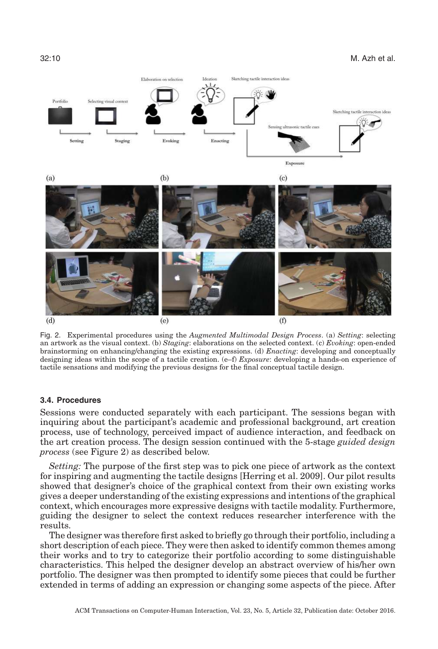<span id="page-9-0"></span>

Fig. 2. Experimental procedures using the *Augmented Multimodal Design Process*. (a) *Setting*: selecting an artwork as the visual context. (b) *Staging*: elaborations on the selected context. (c) *Evoking*: open-ended brainstorming on enhancing/changing the existing expressions. (d) *Enacting*: developing and conceptually designing ideas within the scope of a tactile creation. (e–f) *Exposure*: developing a hands-on experience of tactile sensations and modifying the previous designs for the final conceptual tactile design.

#### **3.4. Procedures**

Sessions were conducted separately with each participant. The sessions began with inquiring about the participant's academic and professional background, art creation process, use of technology, perceived impact of audience interaction, and feedback on the art creation process. The design session continued with the 5-stage *guided design process* (see Figure [2\)](#page-9-0) as described below.

*Setting:* The purpose of the first step was to pick one piece of artwork as the context for inspiring and augmenting the tactile designs [\[Herring et al. 2009\]](#page-43-13). Our pilot results showed that designer's choice of the graphical context from their own existing works gives a deeper understanding of the existing expressions and intentions of the graphical context, which encourages more expressive designs with tactile modality. Furthermore, guiding the designer to select the context reduces researcher interference with the results.

The designer was therefore first asked to briefly go through their portfolio, including a short description of each piece. They were then asked to identify common themes among their works and to try to categorize their portfolio according to some distinguishable characteristics. This helped the designer develop an abstract overview of his/her own portfolio. The designer was then prompted to identify some pieces that could be further extended in terms of adding an expression or changing some aspects of the piece. After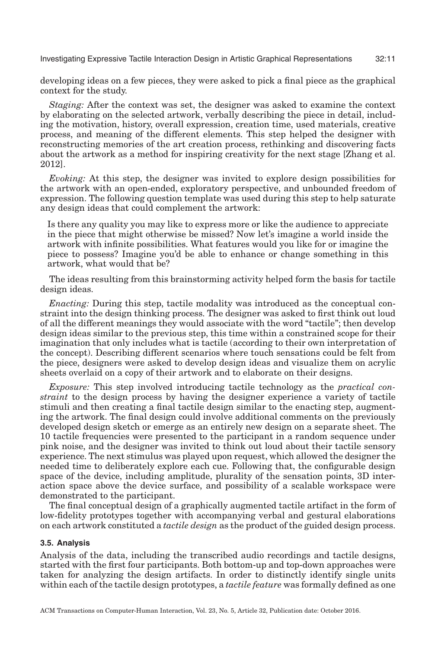developing ideas on a few pieces, they were asked to pick a final piece as the graphical context for the study.

*Staging:* After the context was set, the designer was asked to examine the context by elaborating on the selected artwork, verbally describing the piece in detail, including the motivation, history, overall expression, creation time, used materials, creative process, and meaning of the different elements. This step helped the designer with reconstructing memories of the art creation process, rethinking and discovering facts about the artwork as a method for inspiring creativity for the next stage [\[Zhang et al.](#page-46-8) [2012\]](#page-46-8).

*Evoking:* At this step, the designer was invited to explore design possibilities for the artwork with an open-ended, exploratory perspective, and unbounded freedom of expression. The following question template was used during this step to help saturate any design ideas that could complement the artwork:

Is there any quality you may like to express more or like the audience to appreciate in the piece that might otherwise be missed? Now let's imagine a world inside the artwork with infinite possibilities. What features would you like for or imagine the piece to possess? Imagine you'd be able to enhance or change something in this artwork, what would that be?

The ideas resulting from this brainstorming activity helped form the basis for tactile design ideas.

*Enacting:* During this step, tactile modality was introduced as the conceptual constraint into the design thinking process. The designer was asked to first think out loud of all the different meanings they would associate with the word "tactile"; then develop design ideas similar to the previous step, this time within a constrained scope for their imagination that only includes what is tactile (according to their own interpretation of the concept). Describing different scenarios where touch sensations could be felt from the piece, designers were asked to develop design ideas and visualize them on acrylic sheets overlaid on a copy of their artwork and to elaborate on their designs.

*Exposure:* This step involved introducing tactile technology as the *practical constraint* to the design process by having the designer experience a variety of tactile stimuli and then creating a final tactile design similar to the enacting step, augmenting the artwork. The final design could involve additional comments on the previously developed design sketch or emerge as an entirely new design on a separate sheet. The 10 tactile frequencies were presented to the participant in a random sequence under pink noise, and the designer was invited to think out loud about their tactile sensory experience. The next stimulus was played upon request, which allowed the designer the needed time to deliberately explore each cue. Following that, the configurable design space of the device, including amplitude, plurality of the sensation points, 3D interaction space above the device surface, and possibility of a scalable workspace were demonstrated to the participant.

The final conceptual design of a graphically augmented tactile artifact in the form of low-fidelity prototypes together with accompanying verbal and gestural elaborations on each artwork constituted a *tactile design* as the product of the guided design process.

#### **3.5. Analysis**

Analysis of the data, including the transcribed audio recordings and tactile designs, started with the first four participants. Both bottom-up and top-down approaches were taken for analyzing the design artifacts. In order to distinctly identify single units within each of the tactile design prototypes, a *tactile feature* was formally defined as one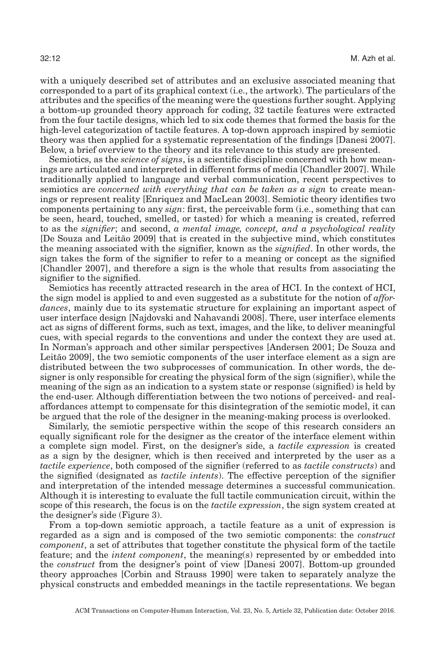with a uniquely described set of attributes and an exclusive associated meaning that corresponded to a part of its graphical context (i.e., the artwork). The particulars of the attributes and the specifics of the meaning were the questions further sought. Applying a bottom-up grounded theory approach for coding, 32 tactile features were extracted from the four tactile designs, which led to six code themes that formed the basis for the high-level categorization of tactile features. A top-down approach inspired by semiotic theory was then applied for a systematic representation of the findings [\[Danesi 2007\]](#page-43-14). Below, a brief overview to the theory and its relevance to this study are presented.

Semiotics, as the *science of signs*, is a scientific discipline concerned with how meanings are articulated and interpreted in different forms of media [\[Chandler 2007\]](#page-43-15). While traditionally applied to language and verbal communication, recent perspectives to semiotics are *concerned with everything that can be taken as a sign* to create meanings or represent reality [\[Enriquez and MacLean 2003\]](#page-43-1). Semiotic theory identifies two components pertaining to any *sign*: first, the perceivable form (i.e., something that can be seen, heard, touched, smelled, or tasted) for which a meaning is created, referred to as the *signifier*; and second, *a mental image, concept, and a psychological reality* [De Souza and Leitão 2009] that is created in the subjective mind, which constitutes the meaning associated with the signifier, known as the *signified*. In other words, the sign takes the form of the signifier to refer to a meaning or concept as the signified [\[Chandler 2007\]](#page-43-15), and therefore a sign is the whole that results from associating the signifier to the signified.

Semiotics has recently attracted research in the area of HCI. In the context of HCI, the sign model is applied to and even suggested as a substitute for the notion of *affordances*, mainly due to its systematic structure for explaining an important aspect of user interface design [\[Najdovski and Nahavandi 2008\]](#page-44-13). There, user interface elements act as signs of different forms, such as text, images, and the like, to deliver meaningful cues, with special regards to the conventions and under the context they are used at. In Norman's approach and other similar perspectives [\[Andersen 2001;](#page-42-6) De [Souza and](#page-43-16) Leitão 2009, the two semiotic components of the user interface element as a sign are distributed between the two subprocesses of communication. In other words, the designer is only responsible for creating the physical form of the sign (signifier), while the meaning of the sign as an indication to a system state or response (signified) is held by the end-user. Although differentiation between the two notions of perceived- and realaffordances attempt to compensate for this disintegration of the semiotic model, it can be argued that the role of the designer in the meaning-making process is overlooked.

Similarly, the semiotic perspective within the scope of this research considers an equally significant role for the designer as the creator of the interface element within a complete sign model. First, on the designer's side, a *tactile expression* is created as a sign by the designer, which is then received and interpreted by the user as a *tactile experience*, both composed of the signifier (referred to as *tactile constructs*) and the signified (designated as *tactile intents*). The effective perception of the signifier and interpretation of the intended message determines a successful communication. Although it is interesting to evaluate the full tactile communication circuit, within the scope of this research, the focus is on the *tactile expression*, the sign system created at the designer's side (Figure [3\)](#page-12-0).

From a top-down semiotic approach, a tactile feature as a unit of expression is regarded as a sign and is composed of the two semiotic components: the *construct component*, a set of attributes that together constitute the physical form of the tactile feature; and the *intent component*, the meaning(s) represented by or embedded into the *construct* from the designer's point of view [\[Danesi 2007\]](#page-43-14). Bottom-up grounded theory approaches [\[Corbin and Strauss 1990\]](#page-43-17) were taken to separately analyze the physical constructs and embedded meanings in the tactile representations. We began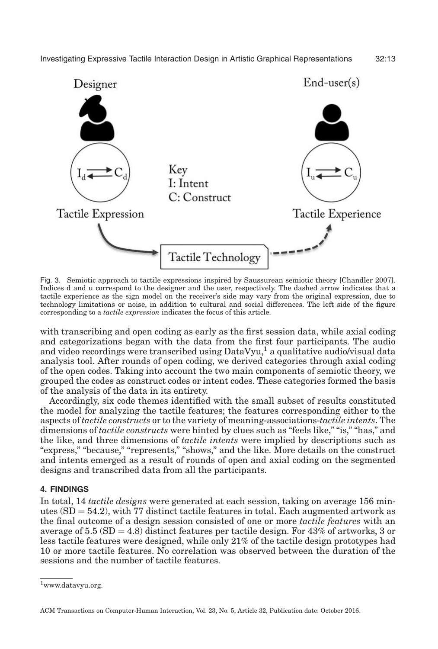<span id="page-12-0"></span>

Fig. 3. Semiotic approach to tactile expressions inspired by Saussurean semiotic theory [\[Chandler 2007\]](#page-43-15). Indices d and u correspond to the designer and the user, respectively. The dashed arrow indicates that a tactile experience as the sign model on the receiver's side may vary from the original expression, due to technology limitations or noise, in addition to cultural and social differences. The left side of the figure corresponding to a *tactile expression* indicates the focus of this article.

with transcribing and open coding as early as the first session data, while axial coding and categorizations began with the data from the first four participants. The audio and video recordings were transcribed using DataVyu,<sup>1</sup> a qualitative audio/visual data analysis tool. After rounds of open coding, we derived categories through axial coding of the open codes. Taking into account the two main components of semiotic theory, we grouped the codes as construct codes or intent codes. These categories formed the basis of the analysis of the data in its entirety.

Accordingly, six code themes identified with the small subset of results constituted the model for analyzing the tactile features; the features corresponding either to the aspects of *tactile constructs* or to the variety of meaning-associations-*tactile intents*. The dimensions of *tactile constructs* were hinted by clues such as "feels like," "is," "has," and the like, and three dimensions of *tactile intents* were implied by descriptions such as "express," "because," "represents," "shows," and the like. More details on the construct and intents emerged as a result of rounds of open and axial coding on the segmented designs and transcribed data from all the participants.

# **4. FINDINGS**

In total, 14 *tactile designs* were generated at each session, taking on average 156 minutes  $(SD = 54.2)$ , with 77 distinct tactile features in total. Each augmented artwork as the final outcome of a design session consisted of one or more *tactile features* with an average of 5.5  $(SD = 4.8)$  distinct features per tactile design. For 43% of artworks, 3 or less tactile features were designed, while only 21% of the tactile design prototypes had 10 or more tactile features. No correlation was observed between the duration of the sessions and the number of tactile features.

<span id="page-12-1"></span><sup>1</sup>www.datavyu.org.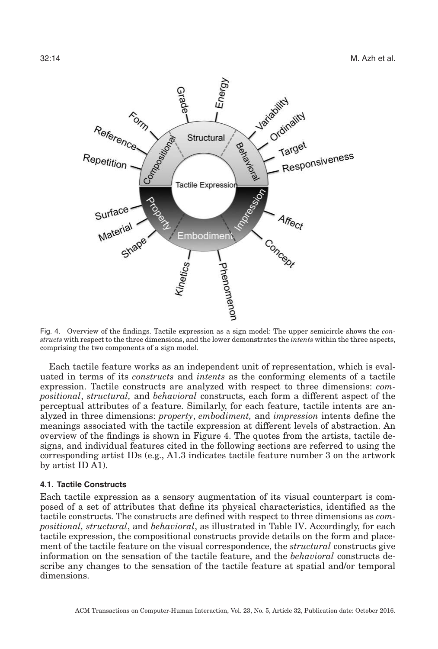<span id="page-13-0"></span>

Fig. 4. Overview of the findings. Tactile expression as a sign model: The upper semicircle shows the *constructs* with respect to the three dimensions, and the lower demonstrates the *intents* within the three aspects, comprising the two components of a sign model.

Each tactile feature works as an independent unit of representation, which is evaluated in terms of its *constructs* and *intents* as the conforming elements of a tactile expression. Tactile constructs are analyzed with respect to three dimensions: *compositional*, *structural,* and *behavioral* constructs, each form a different aspect of the perceptual attributes of a feature. Similarly, for each feature, tactile intents are analyzed in three dimensions: *property*, *embodiment,* and *impression* intents define the meanings associated with the tactile expression at different levels of abstraction. An overview of the findings is shown in Figure [4.](#page-13-0) The quotes from the artists, tactile designs, and individual features cited in the following sections are referred to using the corresponding artist IDs (e.g., A1.3 indicates tactile feature number 3 on the artwork by artist ID A1).

#### **4.1. Tactile Constructs**

Each tactile expression as a sensory augmentation of its visual counterpart is composed of a set of attributes that define its physical characteristics, identified as the tactile constructs. The constructs are defined with respect to three dimensions as *compositional, structural*, and *behavioral*, as illustrated in Table [IV.](#page-14-0) Accordingly, for each tactile expression, the compositional constructs provide details on the form and placement of the tactile feature on the visual correspondence, the *structural* constructs give information on the sensation of the tactile feature, and the *behavioral* constructs describe any changes to the sensation of the tactile feature at spatial and/or temporal dimensions.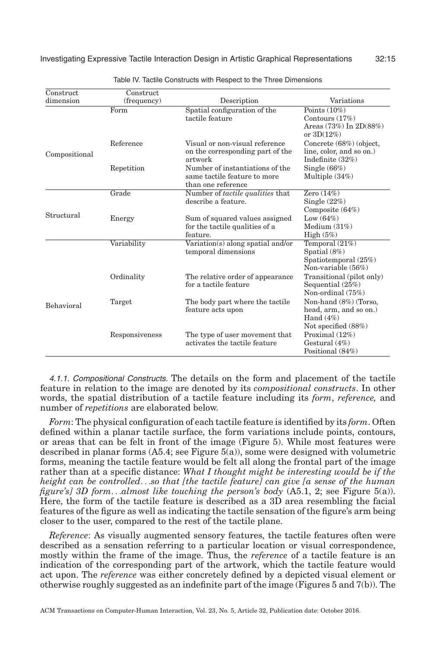<span id="page-14-0"></span>

| Construct<br>dimension | Construct      | Description                                                                           | Variations                                                                               |
|------------------------|----------------|---------------------------------------------------------------------------------------|------------------------------------------------------------------------------------------|
|                        | (frequency)    |                                                                                       |                                                                                          |
|                        | Form           | Spatial configuration of the<br>tactile feature                                       | Points $(10\%)$<br>Contours $(17%)$<br>Areas $(73%)$ In $2D(88%)$<br>or $3D(12\%)$       |
| Compositional          | Reference      | Visual or non-visual reference<br>on the corresponding part of the<br>artwork         | Concrete (68%) (object,<br>line, color, and so on.)<br>Indefinite $(32\%)$               |
|                        | Repetition     | Number of instantiations of the<br>same tactile feature to more<br>than one reference | Single $(66\%)$<br>Multiple $(34%)$                                                      |
|                        | Grade          | Number of tactile qualities that<br>describe a feature.                               | Zero $(14\%)$<br>Single $(22%)$<br>Composite $(64%)$                                     |
| Structural             | Energy         | Sum of squared values assigned<br>for the tactile qualities of a<br>feature.          | Low $(64\%)$<br>Medium $(31%)$<br>High $(5%)$                                            |
|                        | Variability    | Variation(s) along spatial and/or<br>temporal dimensions                              | Temporal (21%)<br>Spatial $(8\%)$<br>Spatiotemporal (25%)<br>Non-variable $(56\%)$       |
|                        | Ordinality     | The relative order of appearance<br>for a tactile feature                             | Transitional (pilot only)<br>Sequential $(25%)$<br>Non-ordinal (75%)                     |
| Behavioral             | Target         | The body part where the tactile<br>feature acts upon                                  | Non-hand (8%) (Torso,<br>head, arm, and so on.)<br>Hand $(4\%)$<br>Not specified $(88%)$ |
|                        | Responsiveness | The type of user movement that<br>activates the tactile feature                       | Proximal $(12\%)$<br>Gestural $(4\%)$<br>Positional (84%)                                |

Table IV. Tactile Constructs with Respect to the Three Dimensions

4.1.1. Compositional Constructs. The details on the form and placement of the tactile feature in relation to the image are denoted by its *compositional constructs*. In other words, the spatial distribution of a tactile feature including its *form*, *reference,* and number of *repetitions* are elaborated below.

*Form*: The physical configuration of each tactile feature is identified by its *form*. Often defined within a planar tactile surface, the form variations include points, contours, or areas that can be felt in front of the image (Figure [5\)](#page-15-0). While most features were described in planar forms (A5.4; see Figure [5\(a\)\)](#page-15-0), some were designed with volumetric forms, meaning the tactile feature would be felt all along the frontal part of the image rather than at a specific distance: *What I thought might be interesting would be if the height can be controlled*...*so that [the tactile feature] can give [a sense of the human figure's] 3D form*...*almost like touching the person's body* (A5.1, 2; see Figure [5\(a\)\)](#page-15-0). Here, the form of the tactile feature is described as a 3D area resembling the facial features of the figure as well as indicating the tactile sensation of the figure's arm being closer to the user, compared to the rest of the tactile plane.

*Reference*: As visually augmented sensory features, the tactile features often were described as a sensation referring to a particular location or visual correspondence, mostly within the frame of the image. Thus, the *reference* of a tactile feature is an indication of the corresponding part of the artwork, which the tactile feature would act upon. The *reference* was either concretely defined by a depicted visual element or otherwise roughly suggested as an indefinite part of the image (Figures [5](#page-15-0) and [7\(](#page-18-0)b)). The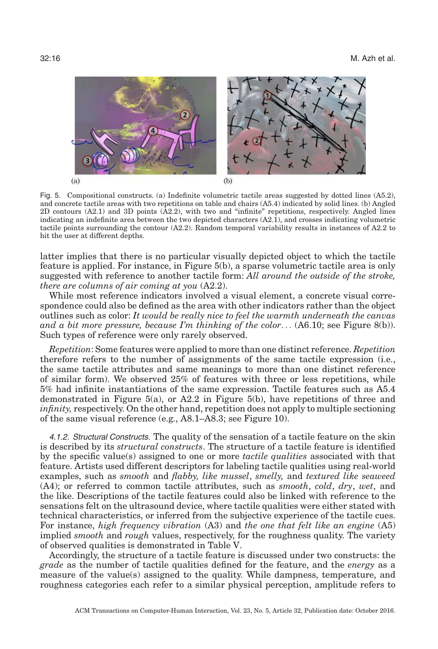<span id="page-15-0"></span>

Fig. 5. Compositional constructs. (a) Indefinite volumetric tactile areas suggested by dotted lines (A5.2), and concrete tactile areas with two repetitions on table and chairs (A5.4) indicated by solid lines. (b) Angled 2D contours (A2.1) and 3D points (A2.2), with two and "infinite" repetitions, respectively. Angled lines indicating an indefinite area between the two depicted characters (A2.1), and crosses indicating volumetric tactile points surrounding the contour (A2.2). Random temporal variability results in instances of A2.2 to hit the user at different depths.

latter implies that there is no particular visually depicted object to which the tactile feature is applied. For instance, in Figure [5\(b\),](#page-15-0) a sparse volumetric tactile area is only suggested with reference to another tactile form: *All around the outside of the stroke, there are columns of air coming at you* (A2.2).

While most reference indicators involved a visual element, a concrete visual correspondence could also be defined as the area with other indicators rather than the object outlines such as color: *It would be really nice to feel the warmth underneath the canvas and a bit more pressure, because I'm thinking of the color*... (A6.10; see Figure [8\(b\)\)](#page-19-0). Such types of reference were only rarely observed.

*Repetition*: Some features were applied to more than one distinct reference. *Repetition* therefore refers to the number of assignments of the same tactile expression (i.e., the same tactile attributes and same meanings to more than one distinct reference of similar form). We observed 25% of features with three or less repetitions, while 5% had infinite instantiations of the same expression. Tactile features such as A5.4 demonstrated in Figure [5\(a\),](#page-15-0) or A2.2 in Figure [5\(b\),](#page-15-0) have repetitions of three and *infinity,* respectively. On the other hand, repetition does not apply to multiple sectioning of the same visual reference (e.g., A8.1–A8.3; see Figure [10\)](#page-22-0).

4.1.2. Structural Constructs. The quality of the sensation of a tactile feature on the skin is described by its *structural constructs*. The structure of a tactile feature is identified by the specific value(s) assigned to one or more *tactile qualities* associated with that feature. Artists used different descriptors for labeling tactile qualities using real-world examples, such as *smooth* and *flabby, like mussel*, *smelly,* and *textured like seaweed* (A4); or referred to common tactile attributes, such as *smooth*, *cold*, *dry*, *wet*, and the like. Descriptions of the tactile features could also be linked with reference to the sensations felt on the ultrasound device, where tactile qualities were either stated with technical characteristics, or inferred from the subjective experience of the tactile cues. For instance, *high frequency vibration* (A3) and *the one that felt like an engine* (A5) implied *smooth* and *rough* values, respectively, for the roughness quality. The variety of observed qualities is demonstrated in Table [V.](#page-16-0)

Accordingly, the structure of a tactile feature is discussed under two constructs: the *grade* as the number of tactile qualities defined for the feature, and the *energy* as a measure of the value(s) assigned to the quality. While dampness, temperature, and roughness categories each refer to a similar physical perception, amplitude refers to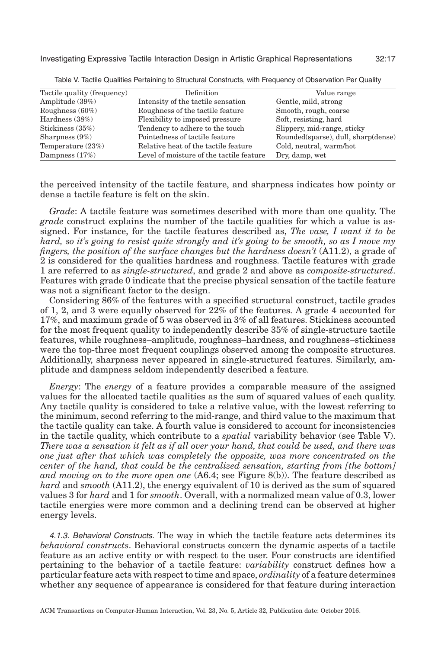<span id="page-16-0"></span>

| Tactile quality (frequency) | Definition                               | Value range                         |
|-----------------------------|------------------------------------------|-------------------------------------|
| Amplitude $(39\%)$          | Intensity of the tactile sensation       | Gentle, mild, strong                |
| Roughness $(60\%)$          | Roughness of the tactile feature         | Smooth, rough, coarse               |
| Hardness $(38%)$            | Flexibility to imposed pressure          | Soft, resisting, hard               |
| Stickiness (35%)            | Tendency to adhere to the touch          | Slippery, mid-range, sticky         |
| Sharpness $(9\%)$           | Pointedness of tactile feature           | Rounded(sparse), dull, sharp(dense) |
| Temperature $(23%)$         | Relative heat of the tactile feature     | Cold, neutral, warm/hot             |
| Dampness $(17%)$            | Level of moisture of the tactile feature | Dry, damp, wet                      |

Table V. Tactile Qualities Pertaining to Structural Constructs, with Frequency of Observation Per Quality

the perceived intensity of the tactile feature, and sharpness indicates how pointy or dense a tactile feature is felt on the skin.

*Grade*: A tactile feature was sometimes described with more than one quality. The *grade* construct explains the number of the tactile qualities for which a value is assigned. For instance, for the tactile features described as, *The vase, I want it to be hard, so it's going to resist quite strongly and it's going to be smooth, so as I move my fingers, the position of the surface changes but the hardness doesn't* (A11.2), a grade of 2 is considered for the qualities hardness and roughness. Tactile features with grade 1 are referred to as *single-structured*, and grade 2 and above as *composite-structured*. Features with grade 0 indicate that the precise physical sensation of the tactile feature was not a significant factor to the design.

Considering 86% of the features with a specified structural construct, tactile grades of 1, 2, and 3 were equally observed for 22% of the features. A grade 4 accounted for 17%, and maximum grade of 5 was observed in 3% of all features. Stickiness accounted for the most frequent quality to independently describe 35% of single-structure tactile features, while roughness–amplitude, roughness–hardness, and roughness–stickiness were the top-three most frequent couplings observed among the composite structures. Additionally, sharpness never appeared in single-structured features. Similarly, amplitude and dampness seldom independently described a feature.

*Energy*: The *energy* of a feature provides a comparable measure of the assigned values for the allocated tactile qualities as the sum of squared values of each quality. Any tactile quality is considered to take a relative value, with the lowest referring to the minimum, second referring to the mid-range, and third value to the maximum that the tactile quality can take. A fourth value is considered to account for inconsistencies in the tactile quality, which contribute to a *spatial* variability behavior (see Table [V\)](#page-16-0). *There was a sensation it felt as if all over your hand, that could be used, and there was one just after that which was completely the opposite, was more concentrated on the center of the hand, that could be the centralized sensation, starting from [the bottom] and moving on to the more open one* (A6.4; see Figure [8\(b\)\)](#page-19-0). The feature described as *hard* and *smooth* (A11.2), the energy equivalent of 10 is derived as the sum of squared values 3 for *hard* and 1 for *smooth*. Overall, with a normalized mean value of 0.3, lower tactile energies were more common and a declining trend can be observed at higher energy levels.

4.1.3. Behavioral Constructs. The way in which the tactile feature acts determines its *behavioral constructs*. Behavioral constructs concern the dynamic aspects of a tactile feature as an active entity or with respect to the user. Four constructs are identified pertaining to the behavior of a tactile feature: *variability* construct defines how a particular feature acts with respect to time and space, *ordinality* of a feature determines whether any sequence of appearance is considered for that feature during interaction

ACM Transactions on Computer-Human Interaction, Vol. 23, No. 5, Article 32, Publication date: October 2016.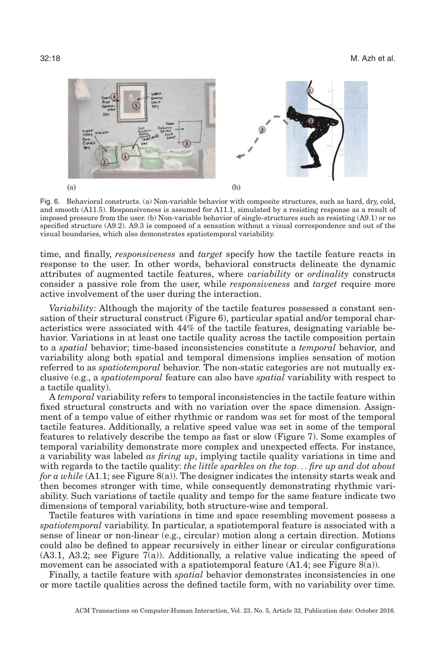<span id="page-17-0"></span>

Fig. 6. Behavioral constructs. (a) Non-variable behavior with composite structures, such as hard, dry, cold, and smooth (A11.5). Responsiveness is assumed for A11.1, simulated by a resisting response as a result of imposed pressure from the user. (b) Non-variable behavior of single-structures such as resisting (A9.1) or no specified structure (A9.2). A9.3 is composed of a sensation without a visual correspondence and out of the visual boundaries, which also demonstrates spatiotemporal variability.

time, and finally, *responsiveness* and *target* specify how the tactile feature reacts in response to the user. In other words, behavioral constructs delineate the dynamic attributes of augmented tactile features, where *variability* or *ordinality* constructs consider a passive role from the user, while *responsiveness* and *target* require more active involvement of the user during the interaction.

*Variability*: Although the majority of the tactile features possessed a constant sensation of their structural construct (Figure [6\)](#page-17-0), particular spatial and/or temporal characteristics were associated with 44% of the tactile features, designating variable behavior. Variations in at least one tactile quality across the tactile composition pertain to a *spatial* behavior; time-based inconsistencies constitute a *temporal* behavior, and variability along both spatial and temporal dimensions implies sensation of motion referred to as *spatiotemporal* behavior. The non-static categories are not mutually exclusive (e.g., a *spatiotemporal* feature can also have *spatial* variability with respect to a tactile quality).

A *temporal* variability refers to temporal inconsistencies in the tactile feature within fixed structural constructs and with no variation over the space dimension. Assignment of a tempo value of either rhythmic or random was set for most of the temporal tactile features. Additionally, a relative speed value was set in some of the temporal features to relatively describe the tempo as fast or slow (Figure [7\)](#page-18-0). Some examples of temporal variability demonstrate more complex and unexpected effects. For instance, a variability was labeled *as firing up*, implying tactile quality variations in time and with regards to the tactile quality: *the little sparkles on the top*... *fire up and dot about for a while* (A1.1; see Figure [8\(a\)\)](#page-19-0). The designer indicates the intensity starts weak and then becomes stronger with time, while consequently demonstrating rhythmic variability. Such variations of tactile quality and tempo for the same feature indicate two dimensions of temporal variability, both structure-wise and temporal.

Tactile features with variations in time and space resembling movement possess a *spatiotemporal* variability. In particular, a spatiotemporal feature is associated with a sense of linear or non-linear (e.g., circular) motion along a certain direction. Motions could also be defined to appear recursively in either linear or circular configurations  $(A3.1, A3.2;$  see Figure  $7(a)$ ). Additionally, a relative value indicating the speed of movement can be associated with a spatiotemporal feature  $(A1.4;$  see Figure  $(8(a))$ .

Finally, a tactile feature with *spatial* behavior demonstrates inconsistencies in one or more tactile qualities across the defined tactile form, with no variability over time.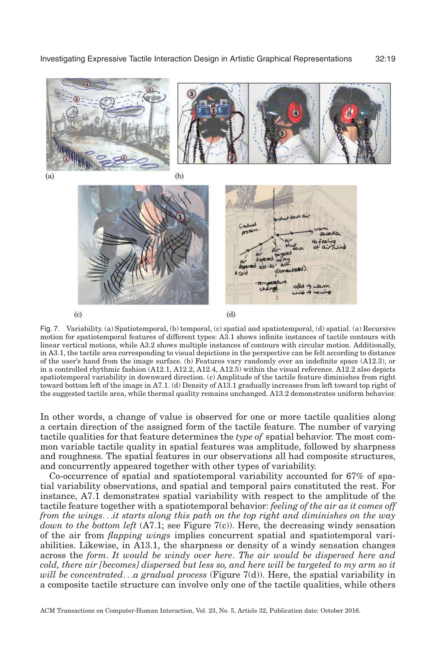<span id="page-18-0"></span>

Fig. 7. Variability. (a) Spatiotemporal, (b) temporal, (c) spatial and spatiotemporal, (d) spatial. (a) Recursive motion for spatiotemporal features of different types: A3.1 shows infinite instances of tactile contours with linear vertical motions, while A3.2 shows multiple instances of contours with circular motion. Additionally, in A3.1, the tactile area corresponding to visual depictions in the perspective can be felt according to distance of the user's hand from the image surface. (b) Features vary randomly over an indefinite space (A12.3), or in a controlled rhythmic fashion (A12.1, A12.2, A12.4, A12.5) within the visual reference. A12.2 also depicts spatiotemporal variability in downward direction. (c) Amplitude of the tactile feature diminishes from right toward bottom left of the image in A7.1. (d) Density of A13.1 gradually increases from left toward top right of the suggested tactile area, while thermal quality remains unchanged. A13.2 demonstrates uniform behavior.

 $(c)$ 

 $(d)$ 

In other words, a change of value is observed for one or more tactile qualities along a certain direction of the assigned form of the tactile feature. The number of varying tactile qualities for that feature determines the *type of* spatial behavior. The most common variable tactile quality in spatial features was amplitude, followed by sharpness and roughness. The spatial features in our observations all had composite structures, and concurrently appeared together with other types of variability.

Co-occurrence of spatial and spatiotemporal variability accounted for 67% of spatial variability observations, and spatial and temporal pairs constituted the rest. For instance, A7.1 demonstrates spatial variability with respect to the amplitude of the tactile feature together with a spatiotemporal behavior: *feeling of the air as it comes off from the wings*...*it starts along this path on the top right and diminishes on the way down to the bottom left* (A7.1; see Figure [7\(c\)\)](#page-18-0). Here, the decreasing windy sensation of the air from *flapping wings* implies concurrent spatial and spatiotemporal variabilities. Likewise, in A13.1, the sharpness or density of a windy sensation changes across the *form*. *It would be windy over here*. *The air would be dispersed here and cold, there air [becomes] dispersed but less so, and here will be targeted to my arm so it will be concentrated*...*a gradual process* (Figure [7\(d\)\)](#page-18-0). Here, the spatial variability in a composite tactile structure can involve only one of the tactile qualities, while others

ACM Transactions on Computer-Human Interaction, Vol. 23, No. 5, Article 32, Publication date: October 2016.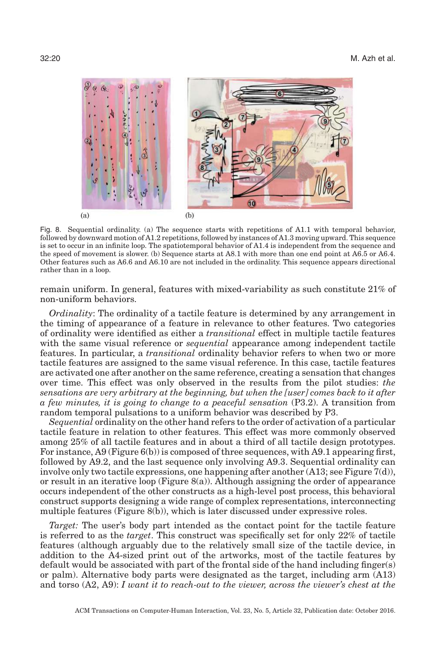<span id="page-19-0"></span>

Fig. 8. Sequential ordinality. (a) The sequence starts with repetitions of A1.1 with temporal behavior, followed by downward motion of A1.2 repetitions, followed by instances of A1.3 moving upward. This sequence is set to occur in an infinite loop. The spatiotemporal behavior of A1.4 is independent from the sequence and the speed of movement is slower. (b) Sequence starts at A8.1 with more than one end point at A6.5 or A6.4. Other features such as A6.6 and A6.10 are not included in the ordinality. This sequence appears directional rather than in a loop.

remain uniform. In general, features with mixed-variability as such constitute 21% of non-uniform behaviors.

*Ordinality*: The ordinality of a tactile feature is determined by any arrangement in the timing of appearance of a feature in relevance to other features. Two categories of ordinality were identified as either a *transitional* effect in multiple tactile features with the same visual reference or *sequential* appearance among independent tactile features. In particular, a *transitional* ordinality behavior refers to when two or more tactile features are assigned to the same visual reference. In this case, tactile features are activated one after another on the same reference, creating a sensation that changes over time. This effect was only observed in the results from the pilot studies: *the sensations are very arbitrary at the beginning, but when the [user] comes back to it after a few minutes, it is going to change to a peaceful sensation* (P3.2). A transition from random temporal pulsations to a uniform behavior was described by P3.

*Sequential* ordinality on the other hand refers to the order of activation of a particular tactile feature in relation to other features. This effect was more commonly observed among 25% of all tactile features and in about a third of all tactile design prototypes. For instance, A9 (Figure [6\(b\)\)](#page-17-0) is composed of three sequences, with A9.1 appearing first, followed by A9.2, and the last sequence only involving A9.3. Sequential ordinality can involve only two tactile expressions, one happening after another (A13; see Figure [7\(d\)\)](#page-18-0), or result in an iterative loop (Figure  $(8(a))$ ). Although assigning the order of appearance occurs independent of the other constructs as a high-level post process, this behavioral construct supports designing a wide range of complex representations, interconnecting multiple features (Figure [8\(b\)\)](#page-19-0), which is later discussed under expressive roles.

*Target:* The user's body part intended as the contact point for the tactile feature is referred to as the *target*. This construct was specifically set for only 22% of tactile features (although arguably due to the relatively small size of the tactile device, in addition to the A4-sized print out of the artworks, most of the tactile features by default would be associated with part of the frontal side of the hand including finger(s) or palm). Alternative body parts were designated as the target, including arm (A13) and torso (A2, A9): *I want it to reach-out to the viewer, across the viewer's chest at the*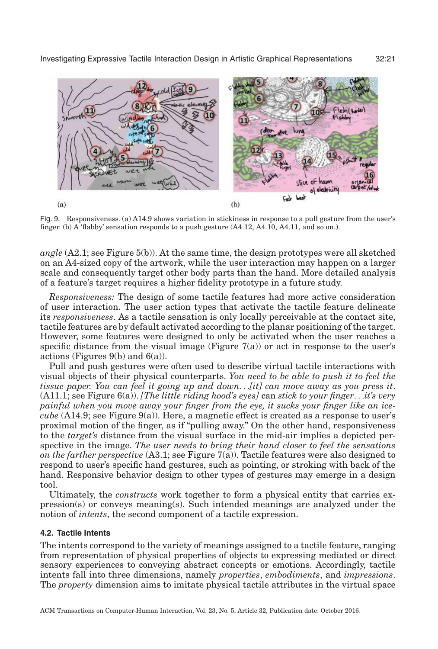<span id="page-20-0"></span>

Fig. 9. Responsiveness. (a) A14.9 shows variation in stickiness in response to a pull gesture from the user's finger. (b) A 'flabby' sensation responds to a push gesture (A4.12, A4.10, A4.11, and so on.).

*angle* (A2.1; see Figure [5\(b\)\)](#page-15-0). At the same time, the design prototypes were all sketched on an A4-sized copy of the artwork, while the user interaction may happen on a larger scale and consequently target other body parts than the hand. More detailed analysis of a feature's target requires a higher fidelity prototype in a future study.

*Responsiveness:* The design of some tactile features had more active consideration of user interaction. The user action types that activate the tactile feature delineate its *responsiveness*. As a tactile sensation is only locally perceivable at the contact site, tactile features are by default activated according to the planar positioning of the target. However, some features were designed to only be activated when the user reaches a specific distance from the visual image (Figure  $7(a)$ ) or act in response to the user's actions (Figures  $9(b)$  and  $6(a)$ ).

Pull and push gestures were often used to describe virtual tactile interactions with visual objects of their physical counterparts. *You need to be able to push it to feel the tissue paper. You can feel it going up and down*...*[it] can move away as you press it*. (A11.1; see Figure [6\(a\)\)](#page-17-0). *[The little riding hood's eyes]* can *stick to your finger*...*it's very painful when you move away your finger from the eye, it sucks your finger like an icecube* (A14.9; see Figure [9\(a\)\)](#page-20-0). Here, a magnetic effect is created as a response to user's proximal motion of the finger, as if "pulling away." On the other hand, responsiveness to the *target's* distance from the visual surface in the mid-air implies a depicted perspective in the image. *The user needs to bring their hand closer to feel the sensations on the farther perspective* (A3.1; see Figure [7\(a\)\)](#page-18-0). Tactile features were also designed to respond to user's specific hand gestures, such as pointing, or stroking with back of the hand. Responsive behavior design to other types of gestures may emerge in a design tool.

Ultimately, the *constructs* work together to form a physical entity that carries expression(s) or conveys meaning(s). Such intended meanings are analyzed under the notion of *intents*, the second component of a tactile expression.

#### **4.2. Tactile Intents**

The intents correspond to the variety of meanings assigned to a tactile feature, ranging from representation of physical properties of objects to expressing mediated or direct sensory experiences to conveying abstract concepts or emotions. Accordingly, tactile intents fall into three dimensions, namely *properties*, *embodiments*, and *impressions*. The *property* dimension aims to imitate physical tactile attributes in the virtual space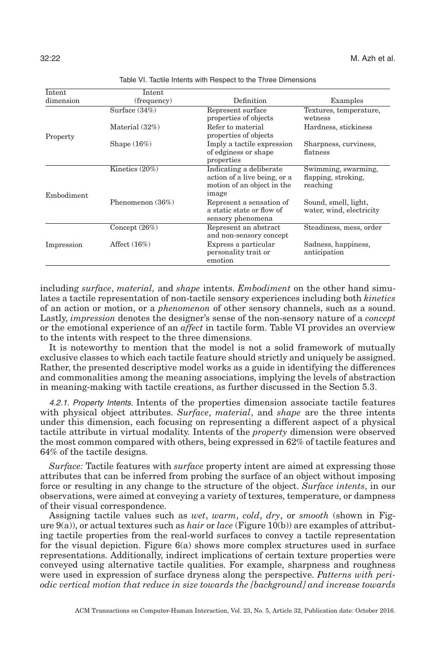<span id="page-21-0"></span>

| Intent     | Intent            |                                                                                                |                                                        |  |
|------------|-------------------|------------------------------------------------------------------------------------------------|--------------------------------------------------------|--|
| dimension  | (frequency)       | Definition                                                                                     | Examples                                               |  |
|            | Surface $(34\%)$  | Represent surface<br>properties of objects                                                     | Textures, temperature,<br>wetness                      |  |
| Property   | Material (32%)    | Refer to material<br>properties of objects                                                     | Hardness, stickiness                                   |  |
|            | Shape $(16\%)$    | Imply a tactile expression<br>of edginess or shape<br>properties                               | Sharpness, curviness,<br>flatness                      |  |
| Embodiment | Kinetics $(20\%)$ | Indicating a deliberate<br>action of a live being, or a<br>motion of an object in the<br>image | Swimming, swarming,<br>flapping, stroking,<br>reaching |  |
|            | Phenomenon (36%)  | Represent a sensation of<br>a static state or flow of<br>sensory phenomena                     | Sound, smell, light,<br>water, wind, electricity       |  |
|            | Concept $(26%)$   | Represent an abstract<br>and non-sensory concept                                               | Steadiness, mess, order                                |  |
| Impression | Affect $(16\%)$   | Express a particular<br>personality trait or<br>emotion                                        | Sadness, happiness,<br>anticipation                    |  |

Table VI. Tactile Intents with Respect to the Three Dimensions

including *surface*, *material,* and *shape* intents. *Embodiment* on the other hand simulates a tactile representation of non-tactile sensory experiences including both *kinetics* of an action or motion, or a *phenomenon* of other sensory channels, such as a sound. Lastly, *impression* denotes the designer's sense of the non-sensory nature of a *concept* or the emotional experience of an *affect* in tactile form. Table [VI](#page-21-0) provides an overview to the intents with respect to the three dimensions.

It is noteworthy to mention that the model is not a solid framework of mutually exclusive classes to which each tactile feature should strictly and uniquely be assigned. Rather, the presented descriptive model works as a guide in identifying the differences and commonalities among the meaning associations, implying the levels of abstraction in meaning-making with tactile creations, as further discussed in the Section 5.3.

4.2.1. Property Intents. Intents of the properties dimension associate tactile features with physical object attributes. *Surface*, *material*, and *shape* are the three intents under this dimension, each focusing on representing a different aspect of a physical tactile attribute in virtual modality. Intents of the *property* dimension were observed the most common compared with others, being expressed in 62% of tactile features and 64% of the tactile designs.

*Surface:* Tactile features with *surface* property intent are aimed at expressing those attributes that can be inferred from probing the surface of an object without imposing force or resulting in any change to the structure of the object. *Surface intents*, in our observations, were aimed at conveying a variety of textures, temperature, or dampness of their visual correspondence.

Assigning tactile values such as *wet*, *warm*, *cold*, *dry*, or *smooth* (shown in Figure [9\(a\)\)](#page-20-0), or actual textures such as *hair* or *lace* (Figure [10\(b\)\)](#page-22-0) are examples of attributing tactile properties from the real-world surfaces to convey a tactile representation for the visual depiction. Figure [6\(a\)](#page-17-0) shows more complex structures used in surface representations. Additionally, indirect implications of certain texture properties were conveyed using alternative tactile qualities. For example, sharpness and roughness were used in expression of surface dryness along the perspective. *Patterns with periodic vertical motion that reduce in size towards the [background] and increase towards*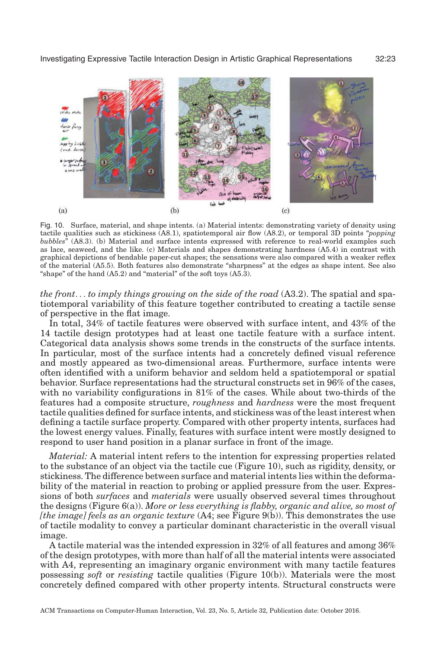<span id="page-22-0"></span>

Fig. 10. Surface, material, and shape intents. (a) Material intents: demonstrating variety of density using tactile qualities such as stickiness (A8.1), spatiotemporal air flow (A8.2), or temporal 3D points "*popping bubbles*" (A8.3). (b) Material and surface intents expressed with reference to real-world examples such as lace, seaweed, and the like. (c) Materials and shapes demonstrating hardness (A5.4) in contrast with graphical depictions of bendable paper-cut shapes; the sensations were also compared with a weaker reflex of the material (A5.5). Both features also demonstrate "sharpness" at the edges as shape intent. See also "shape" of the hand  $(A5.2)$  and "material" of the soft toys  $(A5.3)$ .

*the front*... *to imply things growing on the side of the road* (A3.2). The spatial and spatiotemporal variability of this feature together contributed to creating a tactile sense of perspective in the flat image.

In total, 34% of tactile features were observed with surface intent, and 43% of the 14 tactile design prototypes had at least one tactile feature with a surface intent. Categorical data analysis shows some trends in the constructs of the surface intents. In particular, most of the surface intents had a concretely defined visual reference and mostly appeared as two-dimensional areas. Furthermore, surface intents were often identified with a uniform behavior and seldom held a spatiotemporal or spatial behavior. Surface representations had the structural constructs set in 96% of the cases, with no variability configurations in 81% of the cases. While about two-thirds of the features had a composite structure, *roughness* and *hardness* were the most frequent tactile qualities defined for surface intents, and stickiness was of the least interest when defining a tactile surface property. Compared with other property intents, surfaces had the lowest energy values. Finally, features with surface intent were mostly designed to respond to user hand position in a planar surface in front of the image.

*Material:* A material intent refers to the intention for expressing properties related to the substance of an object via the tactile cue (Figure [10\)](#page-22-0), such as rigidity, density, or stickiness. The difference between surface and material intents lies within the deformability of the material in reaction to probing or applied pressure from the user. Expressions of both *surfaces* and *materials* were usually observed several times throughout the designs (Figure [6\(a\)\)](#page-17-0). *More or less everything is flabby, organic and alive, so most of [the image] feels as an organic texture* (A4; see Figure [9\(b\)\)](#page-20-0). This demonstrates the use of tactile modality to convey a particular dominant characteristic in the overall visual image.

A tactile material was the intended expression in 32% of all features and among 36% of the design prototypes, with more than half of all the material intents were associated with A4, representing an imaginary organic environment with many tactile features possessing *soft* or *resisting* tactile qualities (Figure [10\(b\)\)](#page-22-0). Materials were the most concretely defined compared with other property intents. Structural constructs were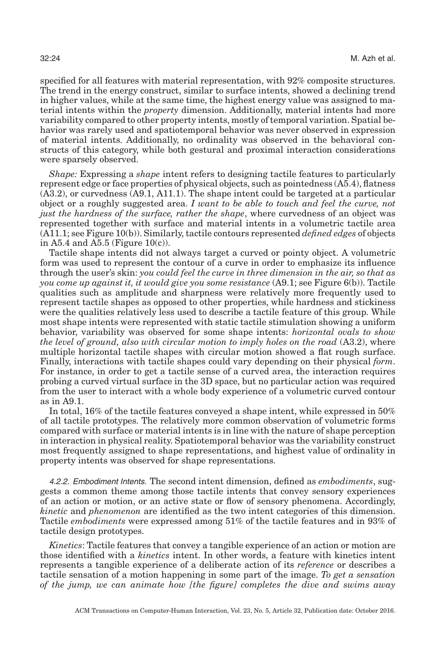specified for all features with material representation, with 92% composite structures. The trend in the energy construct, similar to surface intents, showed a declining trend in higher values, while at the same time, the highest energy value was assigned to material intents within the *property* dimension. Additionally, material intents had more variability compared to other property intents, mostly of temporal variation. Spatial behavior was rarely used and spatiotemporal behavior was never observed in expression of material intents. Additionally, no ordinality was observed in the behavioral constructs of this category, while both gestural and proximal interaction considerations were sparsely observed.

*Shape:* Expressing a *shape* intent refers to designing tactile features to particularly represent edge or face properties of physical objects, such as pointedness (A5.4), flatness (A3.2), or curvedness (A9.1, A11.1). The shape intent could be targeted at a particular object or a roughly suggested area. *I want to be able to touch and feel the curve, not just the hardness of the surface, rather the shape*, where curvedness of an object was represented together with surface and material intents in a volumetric tactile area (A11.1; see Figure [10\(b\)\)](#page-22-0). Similarly, tactile contours represented *defined edges* of objects in A5.4 and A5.5 (Figure  $10(c)$ ).

Tactile shape intents did not always target a curved or pointy object. A volumetric form was used to represent the contour of a curve in order to emphasize its influence through the user's skin: *you could feel the curve in three dimension in the air, so that as you come up against it, it would give you some resistance* (A9.1; see Figure [6\(b\)\)](#page-17-0). Tactile qualities such as amplitude and sharpness were relatively more frequently used to represent tactile shapes as opposed to other properties, while hardness and stickiness were the qualities relatively less used to describe a tactile feature of this group. While most shape intents were represented with static tactile stimulation showing a uniform behavior, variability was observed for some shape intents: *horizontal ovals to show the level of ground, also with circular motion to imply holes on the road* (A3.2), where multiple horizontal tactile shapes with circular motion showed a flat rough surface. Finally, interactions with tactile shapes could vary depending on their physical *form*. For instance, in order to get a tactile sense of a curved area, the interaction requires probing a curved virtual surface in the 3D space, but no particular action was required from the user to interact with a whole body experience of a volumetric curved contour as in A9.1.

In total, 16% of the tactile features conveyed a shape intent, while expressed in 50% of all tactile prototypes. The relatively more common observation of volumetric forms compared with surface or material intents is in line with the nature of shape perception in interaction in physical reality. Spatiotemporal behavior was the variability construct most frequently assigned to shape representations, and highest value of ordinality in property intents was observed for shape representations.

4.2.2. Embodiment Intents. The second intent dimension, defined as *embodiments*, suggests a common theme among those tactile intents that convey sensory experiences of an action or motion, or an active state or flow of sensory phenomena. Accordingly, *kinetic* and *phenomenon* are identified as the two intent categories of this dimension. Tactile *embodiments* were expressed among 51% of the tactile features and in 93% of tactile design prototypes.

*Kinetics*: Tactile features that convey a tangible experience of an action or motion are those identified with a *kinetics* intent. In other words, a feature with kinetics intent represents a tangible experience of a deliberate action of its *reference* or describes a tactile sensation of a motion happening in some part of the image. *To get a sensation of the jump, we can animate how [the figure] completes the dive and swims away*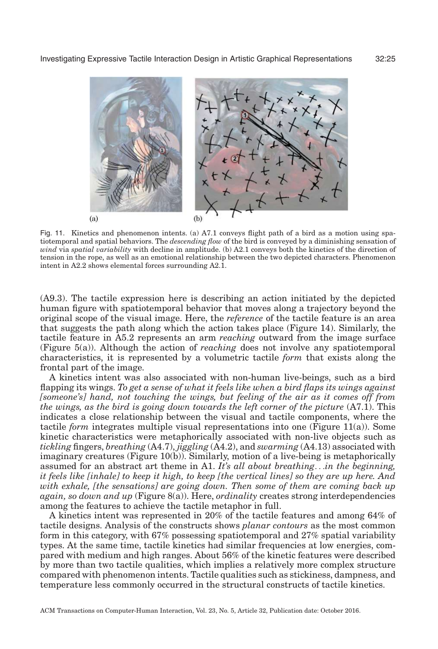<span id="page-24-0"></span>

Fig. 11. Kinetics and phenomenon intents. (a) A7.1 conveys flight path of a bird as a motion using spatiotemporal and spatial behaviors. The *descending flow* of the bird is conveyed by a diminishing sensation of *wind* via *spatial variability* with decline in amplitude. (b) A2.1 conveys both the kinetics of the direction of tension in the rope, as well as an emotional relationship between the two depicted characters. Phenomenon intent in A2.2 shows elemental forces surrounding A2.1.

(A9.3). The tactile expression here is describing an action initiated by the depicted human figure with spatiotemporal behavior that moves along a trajectory beyond the original scope of the visual image. Here, the *reference* of the tactile feature is an area that suggests the path along which the action takes place (Figure [14\)](#page-34-0). Similarly, the tactile feature in A5.2 represents an arm *reaching* outward from the image surface (Figure [5\(a\)\)](#page-15-0). Although the action of *reaching* does not involve any spatiotemporal characteristics, it is represented by a volumetric tactile *form* that exists along the frontal part of the image.

A kinetics intent was also associated with non-human live-beings, such as a bird flapping its wings. *To get a sense of what it feels like when a bird flaps its wings against [someone's] hand, not touching the wings, but feeling of the air as it comes off from the wings, as the bird is going down towards the left corner of the picture* (A7.1). This indicates a close relationship between the visual and tactile components, where the tactile *form* integrates multiple visual representations into one (Figure [11\(a\)\)](#page-24-0). Some kinetic characteristics were metaphorically associated with non-live objects such as *tickling* fingers, *breathing* (A4.7), *jiggling* (A4.2), and *swarming* (A4.13) associated with imaginary creatures (Figure [10\(b\)\)](#page-22-0). Similarly, motion of a live-being is metaphorically assumed for an abstract art theme in A1. *It's all about breathing*...*in the beginning, it feels like [inhale] to keep it high, to keep [the vertical lines] so they are up here. And with exhale, [the sensations] are going down. Then some of them are coming back up again, so down and up* (Figure [8\(a\)\)](#page-19-0). Here, *ordinality* creates strong interdependencies among the features to achieve the tactile metaphor in full.

A kinetics intent was represented in 20% of the tactile features and among 64% of tactile designs. Analysis of the constructs shows *planar contours* as the most common form in this category, with 67% possessing spatiotemporal and 27% spatial variability types. At the same time, tactile kinetics had similar frequencies at low energies, compared with medium and high ranges. About 56% of the kinetic features were described by more than two tactile qualities, which implies a relatively more complex structure compared with phenomenon intents. Tactile qualities such as stickiness, dampness, and temperature less commonly occurred in the structural constructs of tactile kinetics.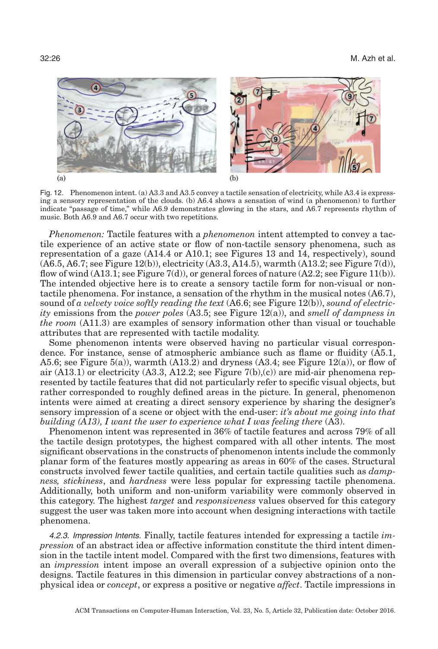<span id="page-25-0"></span>

Fig. 12. Phenomenon intent. (a) A3.3 and A3.5 convey a tactile sensation of electricity, while A3.4 is expressing a sensory representation of the clouds. (b) A6.4 shows a sensation of wind (a phenomenon) to further indicate "passage of time," while A6.9 demonstrates glowing in the stars, and A6.7 represents rhythm of music. Both A6.9 and A6.7 occur with two repetitions.

*Phenomenon:* Tactile features with a *phenomenon* intent attempted to convey a tactile experience of an active state or flow of non-tactile sensory phenomena, such as representation of a gaze (A14.4 or A10.1; see Figures [13](#page-27-0) and [14,](#page-34-0) respectively), sound (A6.5, A6.7; see Figure [12\(b\)\)](#page-25-0), electricity (A3.3, A14.5), warmth (A13.2; see Figure [7\(d\)\)](#page-18-0), flow of wind  $(A13.1;$  see Figure  $7(d)$ , or general forces of nature  $(A2.2;$  see Figure [11\(b\)\)](#page-24-0). The intended objective here is to create a sensory tactile form for non-visual or nontactile phenomena. For instance, a sensation of the rhythm in the musical notes (A6.7), sound of *a velvety voice softly reading the text* (A6.6; see Figure [12\(b\)\)](#page-25-0), *sound of electricity* emissions from the *power poles* (A3.5; see Figure [12\(a\)\)](#page-25-0), and *smell of dampness in the room* (A11.3) are examples of sensory information other than visual or touchable attributes that are represented with tactile modality.

Some phenomenon intents were observed having no particular visual correspondence. For instance, sense of atmospheric ambiance such as flame or fluidity (A5.1, A5.6; see Figure [5\(a\)\)](#page-15-0), warmth  $(A13.2)$  and dryness  $(A3.4)$ ; see Figure [12\(a\)\)](#page-25-0), or flow of air  $(A13.1)$  or electricity  $(A3.3, A12.2;$  see Figure  $7(b),(c)$  are mid-air phenomena represented by tactile features that did not particularly refer to specific visual objects, but rather corresponded to roughly defined areas in the picture. In general, phenomenon intents were aimed at creating a direct sensory experience by sharing the designer's sensory impression of a scene or object with the end-user: *it's about me going into that building (A13), I want the user to experience what I was feeling there* (A3).

Phenomenon intent was represented in 36% of tactile features and across 79% of all the tactile design prototypes, the highest compared with all other intents. The most significant observations in the constructs of phenomenon intents include the commonly planar form of the features mostly appearing as areas in 60% of the cases. Structural constructs involved fewer tactile qualities, and certain tactile qualities such as *dampness, stickiness*, and *hardness* were less popular for expressing tactile phenomena. Additionally, both uniform and non-uniform variability were commonly observed in this category. The highest *target* and *responsiveness* values observed for this category suggest the user was taken more into account when designing interactions with tactile phenomena.

4.2.3. Impression Intents. Finally, tactile features intended for expressing a tactile *impression* of an abstract idea or affective information constitute the third intent dimension in the tactile intent model. Compared with the first two dimensions, features with an *impression* intent impose an overall expression of a subjective opinion onto the designs. Tactile features in this dimension in particular convey abstractions of a nonphysical idea or *concept*, or express a positive or negative *affect*. Tactile impressions in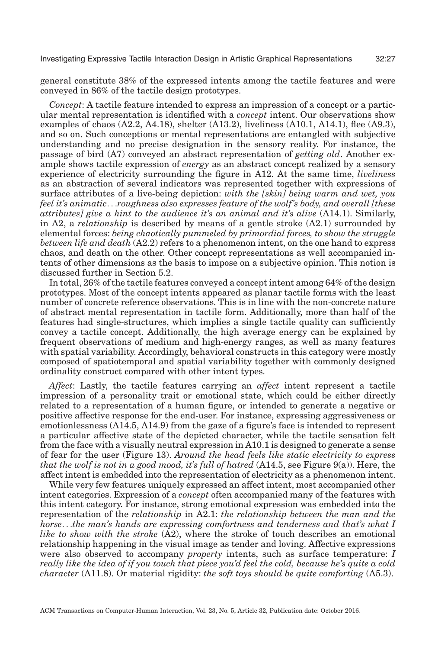general constitute 38% of the expressed intents among the tactile features and were conveyed in 86% of the tactile design prototypes.

*Concept*: A tactile feature intended to express an impression of a concept or a particular mental representation is identified with a *concept* intent. Our observations show examples of chaos  $(A2.2, A4.18)$ , shelter  $(A13.2)$ , liveliness  $(A10.1, A14.1)$ , flee  $(A9.3)$ , and so on. Such conceptions or mental representations are entangled with subjective understanding and no precise designation in the sensory reality. For instance, the passage of bird (A7) conveyed an abstract representation of *getting old*. Another example shows tactile expression of *energy* as an abstract concept realized by a sensory experience of electricity surrounding the figure in A12. At the same time, *liveliness* as an abstraction of several indicators was represented together with expressions of surface attributes of a live-being depiction: *with the [skin] being warm and wet, you feel it's animatic*...*roughness also expresses feature of the wolf's body, and overall [these attributes] give a hint to the audience it's an animal and it's alive* (A14.1). Similarly, in A2, a *relationship* is described by means of a gentle stroke (A2.1) surrounded by elemental forces: *being chaotically pummeled by primordial forces, to show the struggle between life and death* (A2.2) refers to a phenomenon intent, on the one hand to express chaos, and death on the other. Other concept representations as well accompanied intents of other dimensions as the basis to impose on a subjective opinion. This notion is discussed further in Section 5.2.

In total, 26% of the tactile features conveyed a concept intent among 64% of the design prototypes. Most of the concept intents appeared as planar tactile forms with the least number of concrete reference observations. This is in line with the non-concrete nature of abstract mental representation in tactile form. Additionally, more than half of the features had single-structures, which implies a single tactile quality can sufficiently convey a tactile concept. Additionally, the high average energy can be explained by frequent observations of medium and high-energy ranges, as well as many features with spatial variability. Accordingly, behavioral constructs in this category were mostly composed of spatiotemporal and spatial variability together with commonly designed ordinality construct compared with other intent types.

*Affect*: Lastly, the tactile features carrying an *affect* intent represent a tactile impression of a personality trait or emotional state, which could be either directly related to a representation of a human figure, or intended to generate a negative or positive affective response for the end-user. For instance, expressing aggressiveness or emotionlessness (A14.5, A14.9) from the gaze of a figure's face is intended to represent a particular affective state of the depicted character, while the tactile sensation felt from the face with a visually neutral expression in A10.1 is designed to generate a sense of fear for the user (Figure [13\)](#page-27-0). *Around the head feels like static electricity to express that the wolf is not in a good mood, it's full of hatred* (A14.5, see Figure [9\(a\)\)](#page-20-0). Here, the affect intent is embedded into the representation of electricity as a phenomenon intent.

While very few features uniquely expressed an affect intent, most accompanied other intent categories. Expression of a *concept* often accompanied many of the features with this intent category. For instance, strong emotional expression was embedded into the representation of the *relationship* in A2.1: *the relationship between the man and the horse*...*the man's hands are expressing comfortness and tenderness and that's what I like to show with the stroke* (A2), where the stroke of touch describes an emotional relationship happening in the visual image as tender and loving. Affective expressions were also observed to accompany *property* intents, such as surface temperature: *I really like the idea of if you touch that piece you'd feel the cold, because he's quite a cold character* (A11.8). Or material rigidity: *the soft toys should be quite comforting* (A5.3).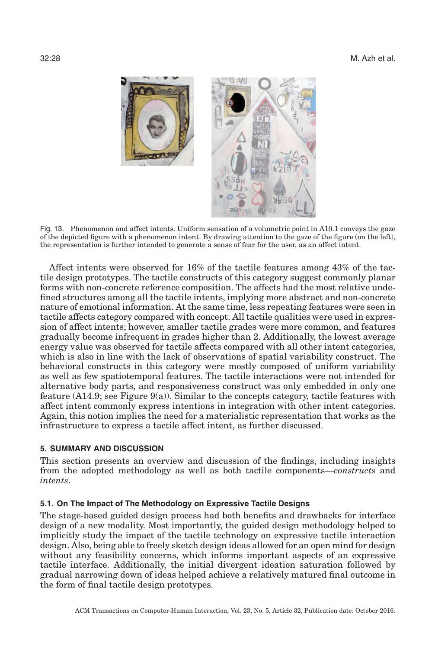<span id="page-27-0"></span>

Fig. 13. Phenomenon and affect intents. Uniform sensation of a volumetric point in A10.1 conveys the gaze of the depicted figure with a phenomenon intent. By drawing attention to the gaze of the figure (on the left), the representation is further intended to generate a sense of fear for the user, as an affect intent.

Affect intents were observed for 16% of the tactile features among 43% of the tactile design prototypes. The tactile constructs of this category suggest commonly planar forms with non-concrete reference composition. The affects had the most relative undefined structures among all the tactile intents, implying more abstract and non-concrete nature of emotional information. At the same time, less repeating features were seen in tactile affects category compared with concept. All tactile qualities were used in expression of affect intents; however, smaller tactile grades were more common, and features gradually become infrequent in grades higher than 2. Additionally, the lowest average energy value was observed for tactile affects compared with all other intent categories, which is also in line with the lack of observations of spatial variability construct. The behavioral constructs in this category were mostly composed of uniform variability as well as few spatiotemporal features. The tactile interactions were not intended for alternative body parts, and responsiveness construct was only embedded in only one feature (A14.9; see Figure [9\(a\)\)](#page-20-0). Similar to the concepts category, tactile features with affect intent commonly express intentions in integration with other intent categories. Again, this notion implies the need for a materialistic representation that works as the infrastructure to express a tactile affect intent, as further discussed.

# **5. SUMMARY AND DISCUSSION**

This section presents an overview and discussion of the findings, including insights from the adopted methodology as well as both tactile components—*constructs* and *intents*.

#### **5.1. On The Impact of The Methodology on Expressive Tactile Designs**

The stage-based guided design process had both benefits and drawbacks for interface design of a new modality. Most importantly, the guided design methodology helped to implicitly study the impact of the tactile technology on expressive tactile interaction design. Also, being able to freely sketch design ideas allowed for an open mind for design without any feasibility concerns, which informs important aspects of an expressive tactile interface. Additionally, the initial divergent ideation saturation followed by gradual narrowing down of ideas helped achieve a relatively matured final outcome in the form of final tactile design prototypes.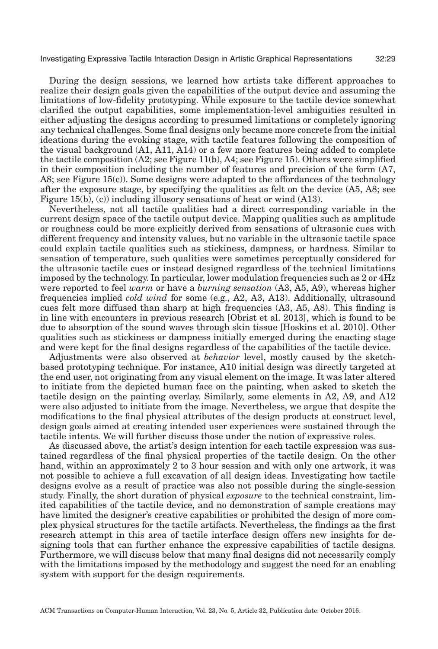During the design sessions, we learned how artists take different approaches to realize their design goals given the capabilities of the output device and assuming the limitations of low-fidelity prototyping. While exposure to the tactile device somewhat clarified the output capabilities, some implementation-level ambiguities resulted in either adjusting the designs according to presumed limitations or completely ignoring any technical challenges. Some final designs only became more concrete from the initial ideations during the evoking stage, with tactile features following the composition of the visual background (A1, A11, A14) or a few more features being added to complete the tactile composition  $(A2; \text{see Figure 11(b)}, A4; \text{see Figure 15})$ . Others were simplified in their composition including the number of features and precision of the form (A7, A8; see Figure  $15(c)$ ). Some designs were adapted to the affordances of the technology after the exposure stage, by specifying the qualities as felt on the device (A5, A8; see Figure [15\(b\),](#page-35-0) (c)) including illusory sensations of heat or wind (A13).

Nevertheless, not all tactile qualities had a direct corresponding variable in the current design space of the tactile output device. Mapping qualities such as amplitude or roughness could be more explicitly derived from sensations of ultrasonic cues with different frequency and intensity values, but no variable in the ultrasonic tactile space could explain tactile qualities such as stickiness, dampness, or hardness. Similar to sensation of temperature, such qualities were sometimes perceptually considered for the ultrasonic tactile cues or instead designed regardless of the technical limitations imposed by the technology. In particular, lower modulation frequencies such as 2 or 4Hz were reported to feel *warm* or have a *burning sensation* (A3, A5, A9), whereas higher frequencies implied *cold wind* for some (e.g., A2, A3, A13). Additionally, ultrasound cues felt more diffused than sharp at high frequencies (A3, A5, A8). This finding is in line with encounters in previous research [\[Obrist et al. 2013\]](#page-44-0), which is found to be due to absorption of the sound waves through skin tissue [\[Hoskins et al. 2010\]](#page-43-7). Other qualities such as stickiness or dampness initially emerged during the enacting stage and were kept for the final designs regardless of the capabilities of the tactile device.

Adjustments were also observed at *behavior* level, mostly caused by the sketchbased prototyping technique. For instance, A10 initial design was directly targeted at the end user, not originating from any visual element on the image. It was later altered to initiate from the depicted human face on the painting, when asked to sketch the tactile design on the painting overlay. Similarly, some elements in A2, A9, and A12 were also adjusted to initiate from the image. Nevertheless, we argue that despite the modifications to the final physical attributes of the design products at construct level, design goals aimed at creating intended user experiences were sustained through the tactile intents. We will further discuss those under the notion of expressive roles.

As discussed above, the artist's design intention for each tactile expression was sustained regardless of the final physical properties of the tactile design. On the other hand, within an approximately 2 to 3 hour session and with only one artwork, it was not possible to achieve a full excavation of all design ideas. Investigating how tactile designs evolve as a result of practice was also not possible during the single-session study. Finally, the short duration of physical *exposure* to the technical constraint, limited capabilities of the tactile device, and no demonstration of sample creations may have limited the designer's creative capabilities or prohibited the design of more complex physical structures for the tactile artifacts. Nevertheless, the findings as the first research attempt in this area of tactile interface design offers new insights for designing tools that can further enhance the expressive capabilities of tactile designs. Furthermore, we will discuss below that many final designs did not necessarily comply with the limitations imposed by the methodology and suggest the need for an enabling system with support for the design requirements.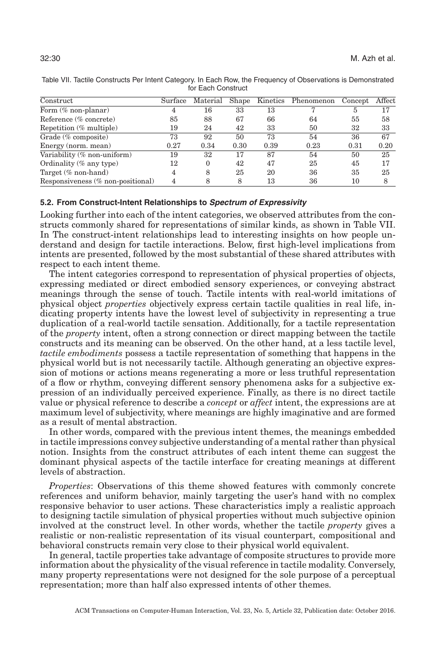| Construct                            | Surface | Material | Shape |      | Kinetics Phenomenon | Concept | Affect |
|--------------------------------------|---------|----------|-------|------|---------------------|---------|--------|
| Form $(\%$ non-planar)               | 4       | 16       | 33    | 13   |                     | 5       | 17     |
| Reference (% concrete)               | 85      | 88       | 67    | 66   | 64                  | 55      | 58     |
| Repetition (% multiple)              | 19      | 24       | 42    | 33   | 50                  | 32      | 33     |
| Grade $(\%$ composite)               | 73      | 92       | 50    | 73   | 54                  | 36      | 67     |
| Energy (norm, mean)                  | 0.27    | 0.34     | 0.30  | 0.39 | 0.23                | 0.31    | 0.20   |
| Variability (% non-uniform)          | 19      | 32       | 17    | 87   | 54                  | 50      | 25     |
| Ordinality $(\%$ any type)           | 12      | $\Omega$ | 42    | 47   | 25                  | 45      | 17     |
| Target (% non-hand)                  | 4       | 8        | 25    | 20   | 36                  | 35      | 25     |
| Responsiveness $(\%$ non-positional) | 4       |          | 8     | 13   | 36                  | 10      |        |

<span id="page-29-0"></span>Table VII. Tactile Constructs Per Intent Category. In Each Row, the Frequency of Observations is Demonstrated for Each Construct

# **5.2. From Construct-Intent Relationships to Spectrum of Expressivity**

Looking further into each of the intent categories, we observed attributes from the constructs commonly shared for representations of similar kinds, as shown in Table [VII.](#page-29-0) In The construct-intent relationships lead to interesting insights on how people understand and design for tactile interactions. Below, first high-level implications from intents are presented, followed by the most substantial of these shared attributes with respect to each intent theme.

The intent categories correspond to representation of physical properties of objects, expressing mediated or direct embodied sensory experiences, or conveying abstract meanings through the sense of touch. Tactile intents with real-world imitations of physical object *properties* objectively express certain tactile qualities in real life, indicating property intents have the lowest level of subjectivity in representing a true duplication of a real-world tactile sensation. Additionally, for a tactile representation of the *property* intent, often a strong connection or direct mapping between the tactile constructs and its meaning can be observed. On the other hand, at a less tactile level, *tactile embodiments* possess a tactile representation of something that happens in the physical world but is not necessarily tactile. Although generating an objective expression of motions or actions means regenerating a more or less truthful representation of a flow or rhythm, conveying different sensory phenomena asks for a subjective expression of an individually perceived experience. Finally, as there is no direct tactile value or physical reference to describe a *concept* or *affect* intent, the expressions are at maximum level of subjectivity, where meanings are highly imaginative and are formed as a result of mental abstraction.

In other words, compared with the previous intent themes, the meanings embedded in tactile impressions convey subjective understanding of a mental rather than physical notion. Insights from the construct attributes of each intent theme can suggest the dominant physical aspects of the tactile interface for creating meanings at different levels of abstraction.

*Properties*: Observations of this theme showed features with commonly concrete references and uniform behavior, mainly targeting the user's hand with no complex responsive behavior to user actions. These characteristics imply a realistic approach to designing tactile simulation of physical properties without much subjective opinion involved at the construct level. In other words, whether the tactile *property* gives a realistic or non-realistic representation of its visual counterpart, compositional and behavioral constructs remain very close to their physical world equivalent.

In general, tactile properties take advantage of composite structures to provide more information about the physicality of the visual reference in tactile modality. Conversely, many property representations were not designed for the sole purpose of a perceptual representation; more than half also expressed intents of other themes.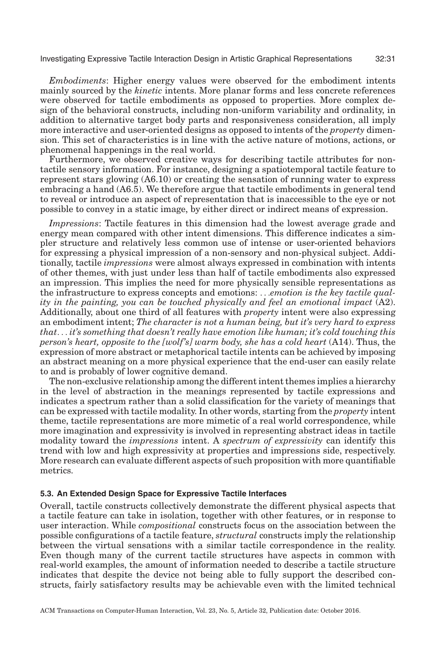*Embodiments*: Higher energy values were observed for the embodiment intents mainly sourced by the *kinetic* intents. More planar forms and less concrete references were observed for tactile embodiments as opposed to properties. More complex design of the behavioral constructs, including non-uniform variability and ordinality, in addition to alternative target body parts and responsiveness consideration, all imply more interactive and user-oriented designs as opposed to intents of the *property* dimension. This set of characteristics is in line with the active nature of motions, actions, or phenomenal happenings in the real world.

Furthermore, we observed creative ways for describing tactile attributes for nontactile sensory information. For instance, designing a spatiotemporal tactile feature to represent stars glowing (A6.10) or creating the sensation of running water to express embracing a hand (A6.5). We therefore argue that tactile embodiments in general tend to reveal or introduce an aspect of representation that is inaccessible to the eye or not possible to convey in a static image, by either direct or indirect means of expression.

*Impressions*: Tactile features in this dimension had the lowest average grade and energy mean compared with other intent dimensions. This difference indicates a simpler structure and relatively less common use of intense or user-oriented behaviors for expressing a physical impression of a non-sensory and non-physical subject. Additionally, tactile *impressions* were almost always expressed in combination with intents of other themes, with just under less than half of tactile embodiments also expressed an impression. This implies the need for more physically sensible representations as the infrastructure to express concepts and emotions: ...*emotion is the key tactile quality in the painting, you can be touched physically and feel an emotional impact* (A2). Additionally, about one third of all features with *property* intent were also expressing an embodiment intent; *The character is not a human being, but it's very hard to express that*... *it's something that doesn't really have emotion like human; it's cold touching this person's heart, opposite to the [wolf's] warm body, she has a cold heart* (A14). Thus, the expression of more abstract or metaphorical tactile intents can be achieved by imposing an abstract meaning on a more physical experience that the end-user can easily relate to and is probably of lower cognitive demand.

The non-exclusive relationship among the different intent themes implies a hierarchy in the level of abstraction in the meanings represented by tactile expressions and indicates a spectrum rather than a solid classification for the variety of meanings that can be expressed with tactile modality. In other words, starting from the *property* intent theme, tactile representations are more mimetic of a real world correspondence, while more imagination and expressivity is involved in representing abstract ideas in tactile modality toward the *impressions* intent. A *spectrum of expressivity* can identify this trend with low and high expressivity at properties and impressions side, respectively. More research can evaluate different aspects of such proposition with more quantifiable metrics.

## **5.3. An Extended Design Space for Expressive Tactile Interfaces**

Overall, tactile constructs collectively demonstrate the different physical aspects that a tactile feature can take in isolation, together with other features, or in response to user interaction. While *compositional* constructs focus on the association between the possible configurations of a tactile feature, *structural* constructs imply the relationship between the virtual sensations with a similar tactile correspondence in the reality. Even though many of the current tactile structures have aspects in common with real-world examples, the amount of information needed to describe a tactile structure indicates that despite the device not being able to fully support the described constructs, fairly satisfactory results may be achievable even with the limited technical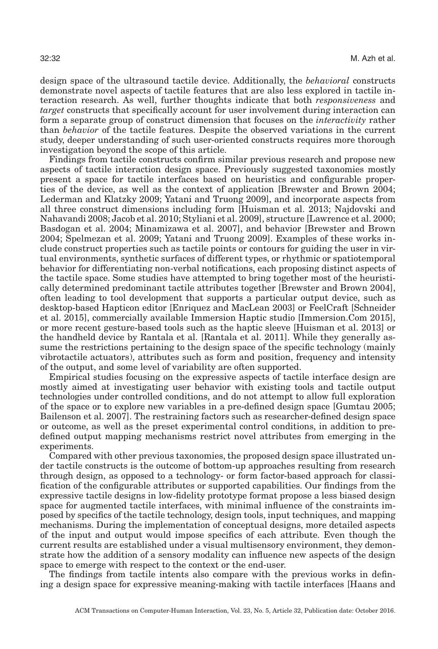design space of the ultrasound tactile device. Additionally, the *behavioral* constructs demonstrate novel aspects of tactile features that are also less explored in tactile interaction research. As well, further thoughts indicate that both *responsiveness* and *target* constructs that specifically account for user involvement during interaction can form a separate group of construct dimension that focuses on the *interactivity* rather than *behavior* of the tactile features. Despite the observed variations in the current study, deeper understanding of such user-oriented constructs requires more thorough investigation beyond the scope of this article.

Findings from tactile constructs confirm similar previous research and propose new aspects of tactile interaction design space. Previously suggested taxonomies mostly present a space for tactile interfaces based on heuristics and configurable properties of the device, as well as the context of application [\[Brewster and Brown 2004;](#page-42-0) [Lederman and Klatzky 2009;](#page-44-9) [Yatani and Truong 2009\]](#page-46-1), and incorporate aspects from all three construct dimensions including form [\[Huisman et al. 2013;](#page-43-18) [Najdovski and](#page-44-13) [Nahavandi 2008;](#page-44-13) [Jacob et al. 2010;](#page-44-8) [Styliani et al. 2009\]](#page-45-9), structure [\[Lawrence et al. 2000;](#page-44-12) [Basdogan et al. 2004;](#page-42-4) [Minamizawa et al. 2007\]](#page-44-14), and behavior [\[Brewster and Brown](#page-42-0) [2004;](#page-42-0) [Spelmezan et al. 2009;](#page-45-8) [Yatani and Truong 2009\]](#page-46-1). Examples of these works include construct properties such as tactile points or contours for guiding the user in virtual environments, synthetic surfaces of different types, or rhythmic or spatiotemporal behavior for differentiating non-verbal notifications, each proposing distinct aspects of the tactile space. Some studies have attempted to bring together most of the heuristically determined predominant tactile attributes together [\[Brewster and Brown 2004\]](#page-42-0), often leading to tool development that supports a particular output device, such as desktop-based Hapticon editor [\[Enriquez and MacLean 2003\]](#page-43-1) or FeelCraft [\[Schneider](#page-45-18) [et al. 2015\]](#page-45-18), commercially available Immersion Haptic studio [Immersion[.Com 2015\]](#page-43-19), or more recent gesture-based tools such as the haptic sleeve [\[Huisman et al. 2013\]](#page-43-18) or the handheld device by Rantala et al. [\[Rantala et al. 2011\]](#page-45-19). While they generally assume the restrictions pertaining to the design space of the specific technology (mainly vibrotactile actuators), attributes such as form and position, frequency and intensity of the output, and some level of variability are often supported.

Empirical studies focusing on the expressive aspects of tactile interface design are mostly aimed at investigating user behavior with existing tools and tactile output technologies under controlled conditions, and do not attempt to allow full exploration of the space or to explore new variables in a pre-defined design space [\[Gumtau 2005;](#page-43-0) [Bailenson et al. 2007\]](#page-42-1). The restraining factors such as researcher-defined design space or outcome, as well as the preset experimental control conditions, in addition to predefined output mapping mechanisms restrict novel attributes from emerging in the experiments.

Compared with other previous taxonomies, the proposed design space illustrated under tactile constructs is the outcome of bottom-up approaches resulting from research through design, as opposed to a technology- or form factor-based approach for classification of the configurable attributes or supported capabilities. Our findings from the expressive tactile designs in low-fidelity prototype format propose a less biased design space for augmented tactile interfaces, with minimal influence of the constraints imposed by specifics of the tactile technology, design tools, input techniques, and mapping mechanisms. During the implementation of conceptual designs, more detailed aspects of the input and output would impose specifics of each attribute. Even though the current results are established under a visual multisensory environment, they demonstrate how the addition of a sensory modality can influence new aspects of the design space to emerge with respect to the context or the end-user.

The findings from tactile intents also compare with the previous works in defining a design space for expressive meaning-making with tactile interfaces [Haans and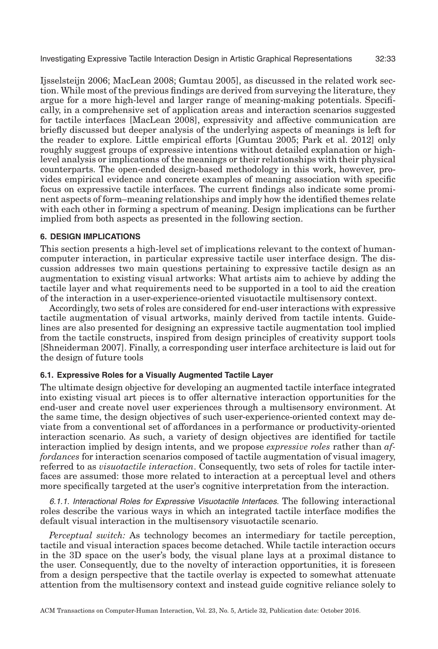Ijsselsteijn 2006; [MacLean 2008;](#page-44-2) [Gumtau 2005\]](#page-43-0), as discussed in the related work section. While most of the previous findings are derived from surveying the literature, they argue for a more high-level and larger range of meaning-making potentials. Specifically, in a comprehensive set of application areas and interaction scenarios suggested for tactile interfaces [\[MacLean 2008\]](#page-44-2), expressivity and affective communication are briefly discussed but deeper analysis of the underlying aspects of meanings is left for the reader to explore. Little empirical efforts [\[Gumtau 2005;](#page-43-0) [Park et al. 2012\]](#page-45-7) only roughly suggest groups of expressive intentions without detailed explanation or highlevel analysis or implications of the meanings or their relationships with their physical counterparts. The open-ended design-based methodology in this work, however, provides empirical evidence and concrete examples of meaning association with specific focus on expressive tactile interfaces. The current findings also indicate some prominent aspects of form–meaning relationships and imply how the identified themes relate with each other in forming a spectrum of meaning. Design implications can be further implied from both aspects as presented in the following section.

# **6. DESIGN IMPLICATIONS**

This section presents a high-level set of implications relevant to the context of humancomputer interaction, in particular expressive tactile user interface design. The discussion addresses two main questions pertaining to expressive tactile design as an augmentation to existing visual artworks: What artists aim to achieve by adding the tactile layer and what requirements need to be supported in a tool to aid the creation of the interaction in a user-experience-oriented visuotactile multisensory context.

Accordingly, two sets of roles are considered for end-user interactions with expressive tactile augmentation of visual artworks, mainly derived from tactile intents. Guidelines are also presented for designing an expressive tactile augmentation tool implied from the tactile constructs, inspired from design principles of creativity support tools [\[Shneiderman 2007\]](#page-45-3). Finally, a corresponding user interface architecture is laid out for the design of future tools

# **6.1. Expressive Roles for a Visually Augmented Tactile Layer**

The ultimate design objective for developing an augmented tactile interface integrated into existing visual art pieces is to offer alternative interaction opportunities for the end-user and create novel user experiences through a multisensory environment. At the same time, the design objectives of such user-experience-oriented context may deviate from a conventional set of affordances in a performance or productivity-oriented interaction scenario. As such, a variety of design objectives are identified for tactile interaction implied by design intents, and we propose *expressive roles* rather than *affordances* for interaction scenarios composed of tactile augmentation of visual imagery, referred to as *visuotactile interaction*. Consequently, two sets of roles for tactile interfaces are assumed: those more related to interaction at a perceptual level and others more specifically targeted at the user's cognitive interpretation from the interaction.

6.1.1. Interactional Roles for Expressive Visuotactile Interfaces. The following interactional roles describe the various ways in which an integrated tactile interface modifies the default visual interaction in the multisensory visuotactile scenario.

*Perceptual switch:* As technology becomes an intermediary for tactile perception, tactile and visual interaction spaces become detached. While tactile interaction occurs in the 3D space on the user's body, the visual plane lays at a proximal distance to the user. Consequently, due to the novelty of interaction opportunities, it is foreseen from a design perspective that the tactile overlay is expected to somewhat attenuate attention from the multisensory context and instead guide cognitive reliance solely to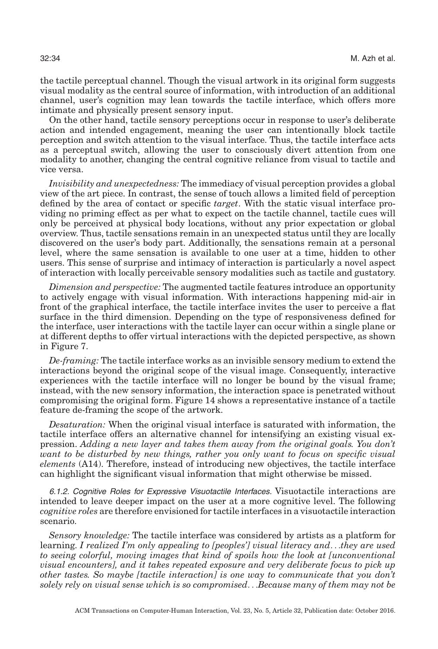the tactile perceptual channel. Though the visual artwork in its original form suggests visual modality as the central source of information, with introduction of an additional channel, user's cognition may lean towards the tactile interface, which offers more intimate and physically present sensory input.

On the other hand, tactile sensory perceptions occur in response to user's deliberate action and intended engagement, meaning the user can intentionally block tactile perception and switch attention to the visual interface. Thus, the tactile interface acts as a perceptual switch, allowing the user to consciously divert attention from one modality to another, changing the central cognitive reliance from visual to tactile and vice versa.

*Invisibility and unexpectedness:* The immediacy of visual perception provides a global view of the art piece. In contrast, the sense of touch allows a limited field of perception defined by the area of contact or specific *target*. With the static visual interface providing no priming effect as per what to expect on the tactile channel, tactile cues will only be perceived at physical body locations, without any prior expectation or global overview. Thus, tactile sensations remain in an unexpected status until they are locally discovered on the user's body part. Additionally, the sensations remain at a personal level, where the same sensation is available to one user at a time, hidden to other users. This sense of surprise and intimacy of interaction is particularly a novel aspect of interaction with locally perceivable sensory modalities such as tactile and gustatory.

*Dimension and perspective:* The augmented tactile features introduce an opportunity to actively engage with visual information. With interactions happening mid-air in front of the graphical interface, the tactile interface invites the user to perceive a flat surface in the third dimension. Depending on the type of responsiveness defined for the interface, user interactions with the tactile layer can occur within a single plane or at different depths to offer virtual interactions with the depicted perspective, as shown in Figure [7.](#page-18-0)

*De-framing:* The tactile interface works as an invisible sensory medium to extend the interactions beyond the original scope of the visual image. Consequently, interactive experiences with the tactile interface will no longer be bound by the visual frame; instead, with the new sensory information, the interaction space is penetrated without compromising the original form. Figure [14](#page-34-0) shows a representative instance of a tactile feature de-framing the scope of the artwork.

*Desaturation:* When the original visual interface is saturated with information, the tactile interface offers an alternative channel for intensifying an existing visual expression. *Adding a new layer and takes them away from the original goals. You don't want to be disturbed by new things, rather you only want to focus on specific visual elements* (A14). Therefore, instead of introducing new objectives, the tactile interface can highlight the significant visual information that might otherwise be missed.

6.1.2. Cognitive Roles for Expressive Visuotactile Interfaces. Visuotactile interactions are intended to leave deeper impact on the user at a more cognitive level. The following *cognitive roles* are therefore envisioned for tactile interfaces in a visuotactile interaction scenario.

*Sensory knowledge:* The tactile interface was considered by artists as a platform for learning. *I realized I'm only appealing to [peoples'] visual literacy and*...*they are used to seeing colorful, moving images that kind of spoils how the look at [unconventional visual encounters], and it takes repeated exposure and very deliberate focus to pick up other tastes. So maybe [tactile interaction] is one way to communicate that you don't solely rely on visual sense which is so compromised*...*Because many of them may not be*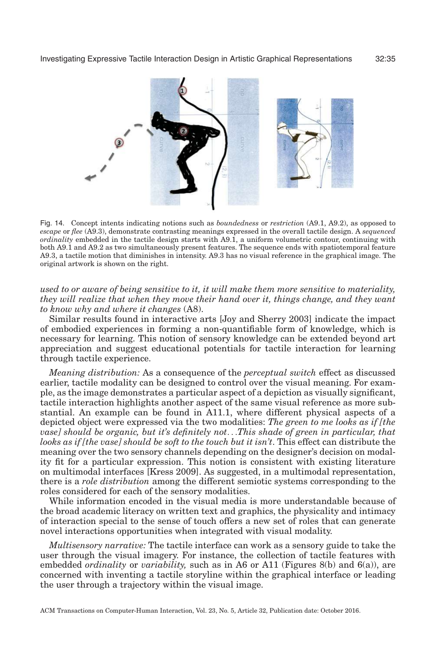<span id="page-34-0"></span>

Fig. 14. Concept intents indicating notions such as *boundedness* or *restriction* (A9.1, A9.2), as opposed to *escape* or *flee* (A9.3), demonstrate contrasting meanings expressed in the overall tactile design. A *sequenced ordinality* embedded in the tactile design starts with A9.1, a uniform volumetric contour, continuing with both A9.1 and A9.2 as two simultaneously present features. The sequence ends with spatiotemporal feature A9.3, a tactile motion that diminishes in intensity. A9.3 has no visual reference in the graphical image. The original artwork is shown on the right.

*used to or aware of being sensitive to it, it will make them more sensitive to materiality, they will realize that when they move their hand over it, things change, and they want to know why and where it changes* (A8).

Similar results found in interactive arts [\[Joy and Sherry 2003\]](#page-44-16) indicate the impact of embodied experiences in forming a non-quantifiable form of knowledge, which is necessary for learning. This notion of sensory knowledge can be extended beyond art appreciation and suggest educational potentials for tactile interaction for learning through tactile experience.

*Meaning distribution:* As a consequence of the *perceptual switch* effect as discussed earlier, tactile modality can be designed to control over the visual meaning. For example, as the image demonstrates a particular aspect of a depiction as visually significant, tactile interaction highlights another aspect of the same visual reference as more substantial. An example can be found in A11.1, where different physical aspects of a depicted object were expressed via the two modalities: *The green to me looks as if [the vase] should be organic, but it's definitely not*...*This shade of green in particular, that looks as if [the vase] should be soft to the touch but it isn't*. This effect can distribute the meaning over the two sensory channels depending on the designer's decision on modality fit for a particular expression. This notion is consistent with existing literature on multimodal interfaces [\[Kress 2009\]](#page-44-17). As suggested, in a multimodal representation, there is a *role distribution* among the different semiotic systems corresponding to the roles considered for each of the sensory modalities.

While information encoded in the visual media is more understandable because of the broad academic literacy on written text and graphics, the physicality and intimacy of interaction special to the sense of touch offers a new set of roles that can generate novel interactions opportunities when integrated with visual modality.

*Multisensory narrative:* The tactile interface can work as a sensory guide to take the user through the visual imagery. For instance, the collection of tactile features with embedded *ordinality* or *variability,* such as in A6 or A11 [\(Figures 8\(](#page-19-0)b) and 6(a)), are concerned with inventing a tactile storyline within the graphical interface or leading the user through a trajectory within the visual image.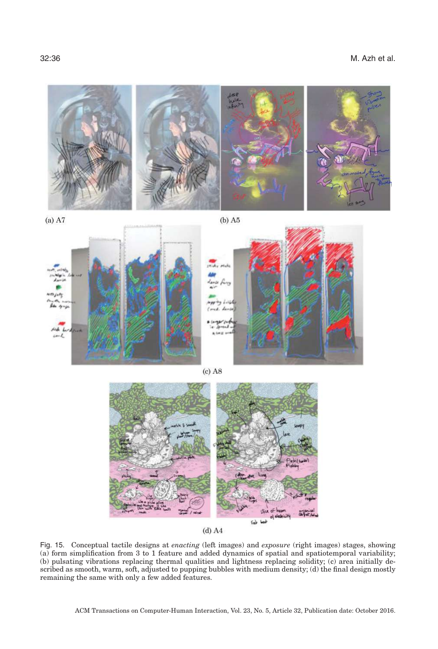32:36 M. Azh et al.

<span id="page-35-0"></span>

 $(a)$  A7

 $(b)$  A5







 $(d)$  A4

Fig. 15. Conceptual tactile designs at *enacting* (left images) and *exposure* (right images) stages, showing (a) form simplification from 3 to 1 feature and added dynamics of spatial and spatiotemporal variability; (b) pulsating vibrations replacing thermal qualities and lightness replacing solidity; (c) area initially described as smooth, warm, soft, adjusted to pupping bubbles with medium density; (d) the final design mostly remaining the same with only a few added features.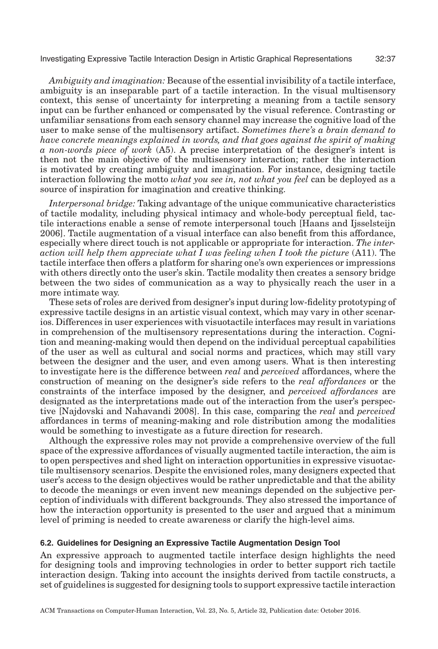*Ambiguity and imagination:* Because of the essential invisibility of a tactile interface, ambiguity is an inseparable part of a tactile interaction. In the visual multisensory context, this sense of uncertainty for interpreting a meaning from a tactile sensory input can be further enhanced or compensated by the visual reference. Contrasting or unfamiliar sensations from each sensory channel may increase the cognitive load of the user to make sense of the multisensory artifact. *Sometimes there's a brain demand to have concrete meanings explained in words, and that goes against the spirit of making a non-words piece of work* (A5). A precise interpretation of the designer's intent is then not the main objective of the multisensory interaction; rather the interaction is motivated by creating ambiguity and imagination. For instance, designing tactile interaction following the motto *what you see in, not what you feel* can be deployed as a source of inspiration for imagination and creative thinking.

*Interpersonal bridge:* Taking advantage of the unique communicative characteristics of tactile modality, including physical intimacy and whole-body perceptual field, tactile interactions enable a sense of remote interpersonal touch [\[Haans and Ijsselsteijn](#page-43-5) [2006\]](#page-43-5). Tactile augmentation of a visual interface can also benefit from this affordance, especially where direct touch is not applicable or appropriate for interaction. *The interaction will help them appreciate what I was feeling when I took the picture* (A11). The tactile interface then offers a platform for sharing one's own experiences or impressions with others directly onto the user's skin. Tactile modality then creates a sensory bridge between the two sides of communication as a way to physically reach the user in a more intimate way.

These sets of roles are derived from designer's input during low-fidelity prototyping of expressive tactile designs in an artistic visual context, which may vary in other scenarios. Differences in user experiences with visuotactile interfaces may result in variations in comprehension of the multisensory representations during the interaction. Cognition and meaning-making would then depend on the individual perceptual capabilities of the user as well as cultural and social norms and practices, which may still vary between the designer and the user, and even among users. What is then interesting to investigate here is the difference between *real* and *perceived* affordances, where the construction of meaning on the designer's side refers to the *real affordances* or the constraints of the interface imposed by the designer, and *perceived affordances* are designated as the interpretations made out of the interaction from the user's perspective [\[Najdovski and Nahavandi 2008\]](#page-44-13). In this case, comparing the *real* and *perceived* affordances in terms of meaning-making and role distribution among the modalities would be something to investigate as a future direction for research.

Although the expressive roles may not provide a comprehensive overview of the full space of the expressive affordances of visually augmented tactile interaction, the aim is to open perspectives and shed light on interaction opportunities in expressive visuotactile multisensory scenarios. Despite the envisioned roles, many designers expected that user's access to the design objectives would be rather unpredictable and that the ability to decode the meanings or even invent new meanings depended on the subjective perception of individuals with different backgrounds. They also stressed the importance of how the interaction opportunity is presented to the user and argued that a minimum level of priming is needed to create awareness or clarify the high-level aims.

#### **6.2. Guidelines for Designing an Expressive Tactile Augmentation Design Tool**

An expressive approach to augmented tactile interface design highlights the need for designing tools and improving technologies in order to better support rich tactile interaction design. Taking into account the insights derived from tactile constructs, a set of guidelines is suggested for designing tools to support expressive tactile interaction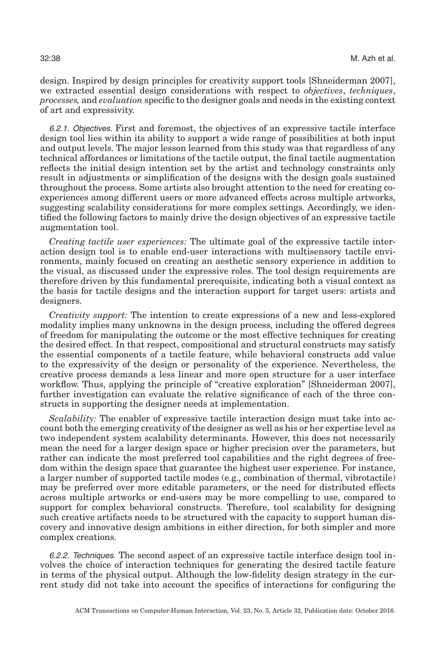design. Inspired by design principles for creativity support tools [\[Shneiderman 2007\]](#page-45-3), we extracted essential design considerations with respect to *objectives*, *techniques*, *processes,* and *evaluation* specific to the designer goals and needs in the existing context of art and expressivity.

6.2.1. Objectives. First and foremost, the objectives of an expressive tactile interface design tool lies within its ability to support a wide range of possibilities at both input and output levels. The major lesson learned from this study was that regardless of any technical affordances or limitations of the tactile output, the final tactile augmentation reflects the initial design intention set by the artist and technology constraints only result in adjustments or simplification of the designs with the design goals sustained throughout the process. Some artists also brought attention to the need for creating coexperiences among different users or more advanced effects across multiple artworks, suggesting scalability considerations for more complex settings. Accordingly, we identified the following factors to mainly drive the design objectives of an expressive tactile augmentation tool.

*Creating tactile user experiences:* The ultimate goal of the expressive tactile interaction design tool is to enable end-user interactions with multisensory tactile environments, mainly focused on creating an aesthetic sensory experience in addition to the visual, as discussed under the expressive roles. The tool design requirements are therefore driven by this fundamental prerequisite, indicating both a visual context as the basis for tactile designs and the interaction support for target users: artists and designers.

*Creativity support:* The intention to create expressions of a new and less-explored modality implies many unknowns in the design process, including the offered degrees of freedom for manipulating the outcome or the most effective techniques for creating the desired effect. In that respect, compositional and structural constructs may satisfy the essential components of a tactile feature, while behavioral constructs add value to the expressivity of the design or personality of the experience. Nevertheless, the creative process demands a less linear and more open structure for a user interface workflow. Thus, applying the principle of "creative exploration" [\[Shneiderman 2007\]](#page-45-3), further investigation can evaluate the relative significance of each of the three constructs in supporting the designer needs at implementation.

*Scalability:* The enabler of expressive tactile interaction design must take into account both the emerging creativity of the designer as well as his or her expertise level as two independent system scalability determinants. However, this does not necessarily mean the need for a larger design space or higher precision over the parameters, but rather can indicate the most preferred tool capabilities and the right degrees of freedom within the design space that guarantee the highest user experience. For instance, a larger number of supported tactile modes (e.g., combination of thermal, vibrotactile) may be preferred over more editable parameters, or the need for distributed effects across multiple artworks or end-users may be more compelling to use, compared to support for complex behavioral constructs. Therefore, tool scalability for designing such creative artifacts needs to be structured with the capacity to support human discovery and innovative design ambitions in either direction, for both simpler and more complex creations.

6.2.2. Techniques. The second aspect of an expressive tactile interface design tool involves the choice of interaction techniques for generating the desired tactile feature in terms of the physical output. Although the low-fidelity design strategy in the current study did not take into account the specifics of interactions for configuring the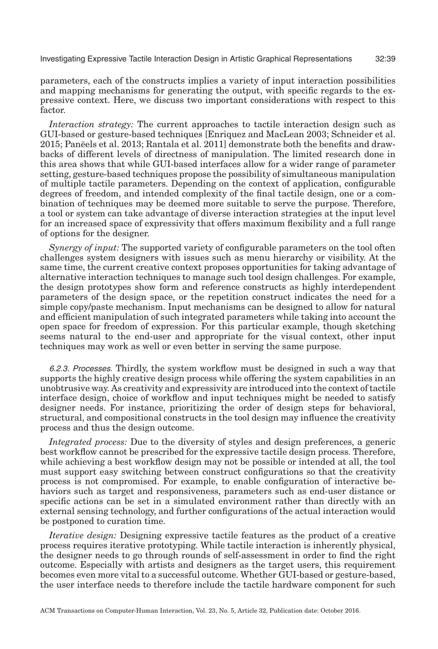parameters, each of the constructs implies a variety of input interaction possibilities and mapping mechanisms for generating the output, with specific regards to the expressive context. Here, we discuss two important considerations with respect to this factor.

*Interaction strategy:* The current approaches to tactile interaction design such as GUI-based or gesture-based techniques [\[Enriquez and MacLean 2003;](#page-43-1) [Schneider et al.](#page-45-18) [2015;](#page-45-18) [Paneels et al. 2013;](#page-45-20) [Rantala et al. 2011\]](#page-45-19) demonstrate both the benefits and draw- ¨ backs of different levels of directness of manipulation. The limited research done in this area shows that while GUI-based interfaces allow for a wider range of parameter setting, gesture-based techniques propose the possibility of simultaneous manipulation of multiple tactile parameters. Depending on the context of application, configurable degrees of freedom, and intended complexity of the final tactile design, one or a combination of techniques may be deemed more suitable to serve the purpose. Therefore, a tool or system can take advantage of diverse interaction strategies at the input level for an increased space of expressivity that offers maximum flexibility and a full range of options for the designer.

*Synergy of input:* The supported variety of configurable parameters on the tool often challenges system designers with issues such as menu hierarchy or visibility. At the same time, the current creative context proposes opportunities for taking advantage of alternative interaction techniques to manage such tool design challenges. For example, the design prototypes show form and reference constructs as highly interdependent parameters of the design space, or the repetition construct indicates the need for a simple copy/paste mechanism. Input mechanisms can be designed to allow for natural and efficient manipulation of such integrated parameters while taking into account the open space for freedom of expression. For this particular example, though sketching seems natural to the end-user and appropriate for the visual context, other input techniques may work as well or even better in serving the same purpose.

6.2.3. Processes. Thirdly, the system workflow must be designed in such a way that supports the highly creative design process while offering the system capabilities in an unobtrusive way. As creativity and expressivity are introduced into the context of tactile interface design, choice of workflow and input techniques might be needed to satisfy designer needs. For instance, prioritizing the order of design steps for behavioral, structural, and compositional constructs in the tool design may influence the creativity process and thus the design outcome.

*Integrated process:* Due to the diversity of styles and design preferences, a generic best workflow cannot be prescribed for the expressive tactile design process. Therefore, while achieving a best workflow design may not be possible or intended at all, the tool must support easy switching between construct configurations so that the creativity process is not compromised. For example, to enable configuration of interactive behaviors such as target and responsiveness, parameters such as end-user distance or specific actions can be set in a simulated environment rather than directly with an external sensing technology, and further configurations of the actual interaction would be postponed to curation time.

*Iterative design:* Designing expressive tactile features as the product of a creative process requires iterative prototyping. While tactile interaction is inherently physical, the designer needs to go through rounds of self-assessment in order to find the right outcome. Especially with artists and designers as the target users, this requirement becomes even more vital to a successful outcome. Whether GUI-based or gesture-based, the user interface needs to therefore include the tactile hardware component for such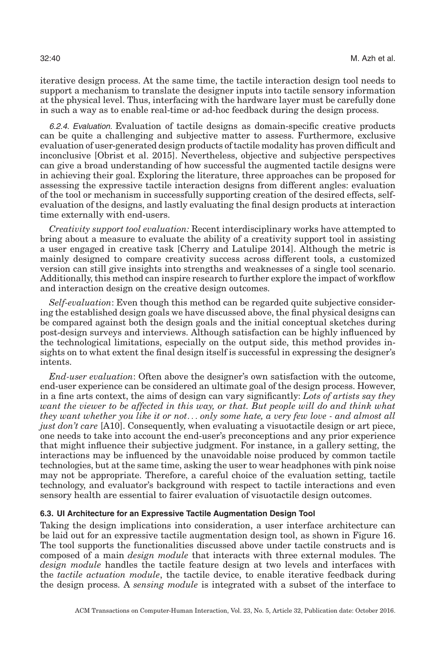iterative design process. At the same time, the tactile interaction design tool needs to support a mechanism to translate the designer inputs into tactile sensory information at the physical level. Thus, interfacing with the hardware layer must be carefully done in such a way as to enable real-time or ad-hoc feedback during the design process.

6.2.4. Evaluation. Evaluation of tactile designs as domain-specific creative products can be quite a challenging and subjective matter to assess. Furthermore, exclusive evaluation of user-generated design products of tactile modality has proven difficult and inconclusive [\[Obrist et al. 2015\]](#page-44-21). Nevertheless, objective and subjective perspectives can give a broad understanding of how successful the augmented tactile designs were in achieving their goal. Exploring the literature, three approaches can be proposed for assessing the expressive tactile interaction designs from different angles: evaluation of the tool or mechanism in successfully supporting creation of the desired effects, selfevaluation of the designs, and lastly evaluating the final design products at interaction time externally with end-users.

*Creativity support tool evaluation:* Recent interdisciplinary works have attempted to bring about a measure to evaluate the ability of a creativity support tool in assisting a user engaged in creative task [\[Cherry and Latulipe 2014\]](#page-43-20). Although the metric is mainly designed to compare creativity success across different tools, a customized version can still give insights into strengths and weaknesses of a single tool scenario. Additionally, this method can inspire research to further explore the impact of workflow and interaction design on the creative design outcomes.

*Self-evaluation*: Even though this method can be regarded quite subjective considering the established design goals we have discussed above, the final physical designs can be compared against both the design goals and the initial conceptual sketches during post-design surveys and interviews. Although satisfaction can be highly influenced by the technological limitations, especially on the output side, this method provides insights on to what extent the final design itself is successful in expressing the designer's intents.

*End-user evaluation*: Often above the designer's own satisfaction with the outcome, end-user experience can be considered an ultimate goal of the design process. However, in a fine arts context, the aims of design can vary significantly: *Lots of artists say they want the viewer to be affected in this way, or that. But people will do and think what they want whether you like it or not*... *only some hate, a very few love - and almost all just don't care* [A10]. Consequently, when evaluating a visuotactile design or art piece, one needs to take into account the end-user's preconceptions and any prior experience that might influence their subjective judgment. For instance, in a gallery setting, the interactions may be influenced by the unavoidable noise produced by common tactile technologies, but at the same time, asking the user to wear headphones with pink noise may not be appropriate. Therefore, a careful choice of the evaluation setting, tactile technology, and evaluator's background with respect to tactile interactions and even sensory health are essential to fairer evaluation of visuotactile design outcomes.

## **6.3. UI Architecture for an Expressive Tactile Augmentation Design Tool**

Taking the design implications into consideration, a user interface architecture can be laid out for an expressive tactile augmentation design tool, as shown in Figure [16.](#page-40-0) The tool supports the functionalities discussed above under tactile constructs and is composed of a main *design module* that interacts with three external modules. The *design module* handles the tactile feature design at two levels and interfaces with the *tactile actuation module*, the tactile device, to enable iterative feedback during the design process. A *sensing module* is integrated with a subset of the interface to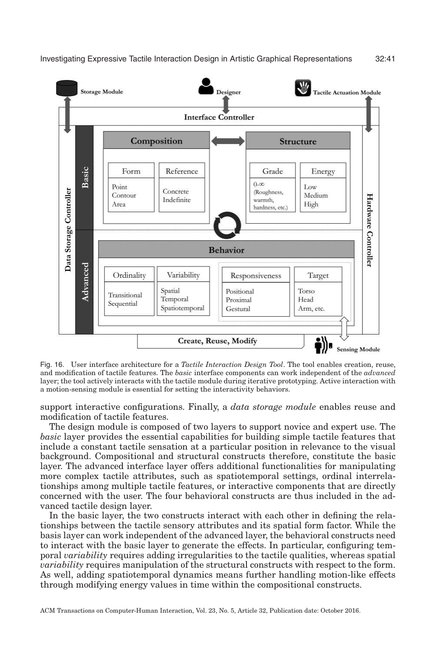<span id="page-40-0"></span>

Fig. 16. User interface architecture for a *Tactile Interaction Design Tool*. The tool enables creation, reuse, and modification of tactile features. The *basic* interface components can work independent of the *advanced* layer; the tool actively interacts with the tactile module during iterative prototyping. Active interaction with a motion-sensing module is essential for setting the interactivity behaviors.

support interactive configurations. Finally, a *data storage module* enables reuse and modification of tactile features.

The design module is composed of two layers to support novice and expert use. The *basic* layer provides the essential capabilities for building simple tactile features that include a constant tactile sensation at a particular position in relevance to the visual background. Compositional and structural constructs therefore, constitute the basic layer. The advanced interface layer offers additional functionalities for manipulating more complex tactile attributes, such as spatiotemporal settings, ordinal interrelationships among multiple tactile features, or interactive components that are directly concerned with the user. The four behavioral constructs are thus included in the advanced tactile design layer.

In the basic layer, the two constructs interact with each other in defining the relationships between the tactile sensory attributes and its spatial form factor. While the basis layer can work independent of the advanced layer, the behavioral constructs need to interact with the basic layer to generate the effects. In particular, configuring temporal *variability* requires adding irregularities to the tactile qualities, whereas spatial *variability* requires manipulation of the structural constructs with respect to the form. As well, adding spatiotemporal dynamics means further handling motion-like effects through modifying energy values in time within the compositional constructs.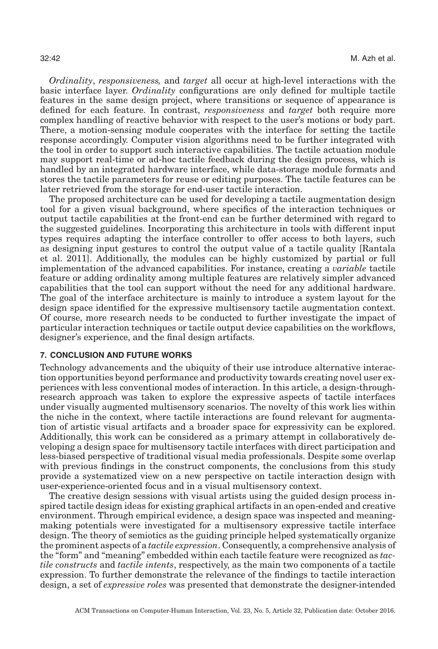*Ordinality*, *responsiveness,* and *target* all occur at high-level interactions with the basic interface layer. *Ordinality* configurations are only defined for multiple tactile features in the same design project, where transitions or sequence of appearance is defined for each feature. In contrast, *responsiveness* and *target* both require more complex handling of reactive behavior with respect to the user's motions or body part. There, a motion-sensing module cooperates with the interface for setting the tactile response accordingly. Computer vision algorithms need to be further integrated with the tool in order to support such interactive capabilities. The tactile actuation module may support real-time or ad-hoc tactile feedback during the design process, which is handled by an integrated hardware interface, while data-storage module formats and stores the tactile parameters for reuse or editing purposes. The tactile features can be later retrieved from the storage for end-user tactile interaction.

The proposed architecture can be used for developing a tactile augmentation design tool for a given visual background, where specifics of the interaction techniques or output tactile capabilities at the front-end can be further determined with regard to the suggested guidelines. Incorporating this architecture in tools with different input types requires adapting the interface controller to offer access to both layers, such as designing input gestures to control the output value of a tactile quality [\[Rantala](#page-45-19) [et al. 2011\]](#page-45-19). Additionally, the modules can be highly customized by partial or full implementation of the advanced capabilities. For instance, creating a *variable* tactile feature or adding ordinality among multiple features are relatively simpler advanced capabilities that the tool can support without the need for any additional hardware. The goal of the interface architecture is mainly to introduce a system layout for the design space identified for the expressive multisensory tactile augmentation context. Of course, more research needs to be conducted to further investigate the impact of particular interaction techniques or tactile output device capabilities on the workflows, designer's experience, and the final design artifacts.

# **7. CONCLUSION AND FUTURE WORKS**

Technology advancements and the ubiquity of their use introduce alternative interaction opportunities beyond performance and productivity towards creating novel user experiences with less conventional modes of interaction. In this article, a design-throughresearch approach was taken to explore the expressive aspects of tactile interfaces under visually augmented multisensory scenarios. The novelty of this work lies within the niche in the context, where tactile interactions are found relevant for augmentation of artistic visual artifacts and a broader space for expressivity can be explored. Additionally, this work can be considered as a primary attempt in collaboratively developing a design space for multisensory tactile interfaces with direct participation and less-biased perspective of traditional visual media professionals. Despite some overlap with previous findings in the construct components, the conclusions from this study provide a systematized view on a new perspective on tactile interaction design with user-experience-oriented focus and in a visual multisensory context.

The creative design sessions with visual artists using the guided design process inspired tactile design ideas for existing graphical artifacts in an open-ended and creative environment. Through empirical evidence, a design space was inspected and meaningmaking potentials were investigated for a multisensory expressive tactile interface design. The theory of semiotics as the guiding principle helped systematically organize the prominent aspects of a *tactile expression*. Consequently, a comprehensive analysis of the "form" and "meaning" embedded within each tactile feature were recognized as *tactile constructs* and *tactile intents*, respectively, as the main two components of a tactile expression. To further demonstrate the relevance of the findings to tactile interaction design, a set of *expressive roles* was presented that demonstrate the designer-intended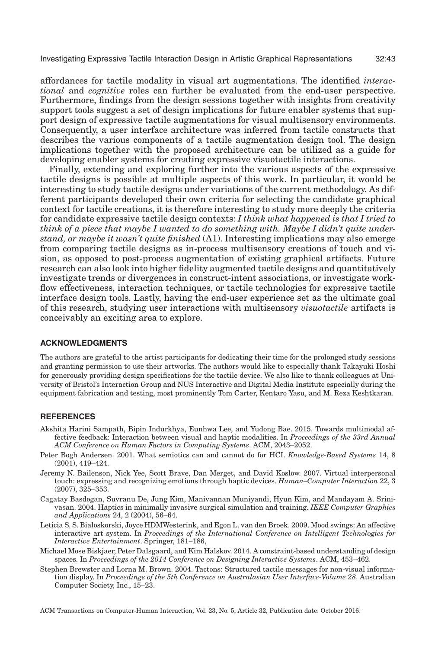affordances for tactile modality in visual art augmentations. The identified *interactional* and *cognitive* roles can further be evaluated from the end-user perspective. Furthermore, findings from the design sessions together with insights from creativity support tools suggest a set of design implications for future enabler systems that support design of expressive tactile augmentations for visual multisensory environments. Consequently, a user interface architecture was inferred from tactile constructs that describes the various components of a tactile augmentation design tool. The design implications together with the proposed architecture can be utilized as a guide for developing enabler systems for creating expressive visuotactile interactions.

Finally, extending and exploring further into the various aspects of the expressive tactile designs is possible at multiple aspects of this work. In particular, it would be interesting to study tactile designs under variations of the current methodology. As different participants developed their own criteria for selecting the candidate graphical context for tactile creations, it is therefore interesting to study more deeply the criteria for candidate expressive tactile design contexts: *I think what happened is that I tried to think of a piece that maybe I wanted to do something with. Maybe I didn't quite understand, or maybe it wasn't quite finished* (A1). Interesting implications may also emerge from comparing tactile designs as in-process multisensory creations of touch and vision, as opposed to post-process augmentation of existing graphical artifacts. Future research can also look into higher fidelity augmented tactile designs and quantitatively investigate trends or divergences in construct-intent associations, or investigate workflow effectiveness, interaction techniques, or tactile technologies for expressive tactile interface design tools. Lastly, having the end-user experience set as the ultimate goal of this research, studying user interactions with multisensory *visuotactile* artifacts is conceivably an exciting area to explore.

#### **ACKNOWLEDGMENTS**

The authors are grateful to the artist participants for dedicating their time for the prolonged study sessions and granting permission to use their artworks. The authors would like to especially thank Takayuki Hoshi for generously providing design specifications for the tactile device. We also like to thank colleagues at University of Bristol's Interaction Group and NUS Interactive and Digital Media Institute especially during the equipment fabrication and testing, most prominently Tom Carter, Kentaro Yasu, and M. Reza Keshtkaran.

#### **REFERENCES**

- <span id="page-42-2"></span>Akshita Harini Sampath, Bipin Indurkhya, Eunhwa Lee, and Yudong Bae. 2015. Towards multimodal affective feedback: Interaction between visual and haptic modalities. In *Proceedings of the 33rd Annual ACM Conference on Human Factors in Computing Systems*. ACM, 2043–2052.
- <span id="page-42-6"></span>Peter Bogh Andersen. 2001. What semiotics can and cannot do for HCI. *Knowledge-Based Systems* 14, 8 (2001), 419–424.
- <span id="page-42-1"></span>Jeremy N. Bailenson, Nick Yee, Scott Brave, Dan Merget, and David Koslow. 2007. Virtual interpersonal touch: expressing and recognizing emotions through haptic devices. *Human–Computer Interaction* 22, 3 (2007), 325–353.
- <span id="page-42-4"></span>Cagatay Basdogan, Suvranu De, Jung Kim, Manivannan Muniyandi, Hyun Kim, and Mandayam A. Srinivasan. 2004. Haptics in minimally invasive surgical simulation and training. *IEEE Computer Graphics and Applications* 24, 2 (2004), 56–64.
- <span id="page-42-3"></span>Leticia S. S. Bialoskorski, Joyce HDMWesterink, and Egon L. van den Broek. 2009. Mood swings: An affective interactive art system. In *Proceedings of the International Conference on Intelligent Technologies for Interactive Entertainment*. Springer, 181–186,
- <span id="page-42-5"></span>Michael Mose Biskjaer, Peter Dalsgaard, and Kim Halskov. 2014. A constraint-based understanding of design spaces. In *Proceedings of the 2014 Conference on Designing Interactive Systems*. ACM, 453–462.
- <span id="page-42-0"></span>Stephen Brewster and Lorna M. Brown. 2004. Tactons: Structured tactile messages for non-visual information display. In *Proceedings of the 5th Conference on Australasian User Interface-Volume 28*. Australian Computer Society, Inc., 15–23.

ACM Transactions on Computer-Human Interaction, Vol. 23, No. 5, Article 32, Publication date: October 2016.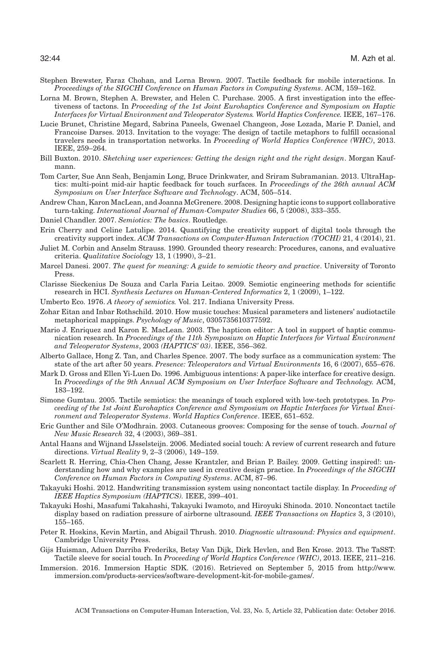- Stephen Brewster, Faraz Chohan, and Lorna Brown. 2007. Tactile feedback for mobile interactions. In *Proceedings of the SIGCHI Conference on Human Factors in Computing Systems*. ACM, 159–162.
- <span id="page-43-3"></span>Lorna M. Brown, Stephen A. Brewster, and Helen C. Purchase. 2005. A first investigation into the effectiveness of tactons. In *Proceeding of the 1st Joint Eurohaptics Conference and Symposium on Haptic Interfaces for Virtual Environment and Teleoperator Systems. World Haptics Conference.* IEEE, 167–176.
- <span id="page-43-2"></span>Lucie Brunet, Christine Megard, Sabrina Paneels, Gwenael Changeon, Jose Lozada, Marie P. Daniel, and Francoise Darses. 2013. Invitation to the voyage: The design of tactile metaphors to fulfill occasional travelers needs in transportation networks. In *Proceeding of World Haptics Conference (WHC)*, 2013. IEEE, 259–264.
- <span id="page-43-10"></span>Bill Buxton. 2010. *Sketching user experiences: Getting the design right and the right design*. Morgan Kaufmann.
- <span id="page-43-12"></span>Tom Carter, Sue Ann Seah, Benjamin Long, Bruce Drinkwater, and Sriram Subramanian. 2013. UltraHaptics: multi-point mid-air haptic feedback for touch surfaces. In *Proceedings of the 26th annual ACM Symposium on User Interface Software and Technology*. ACM, 505–514.
- <span id="page-43-6"></span>Andrew Chan, Karon MacLean, and Joanna McGrenere. 2008. Designing haptic icons to support collaborative turn-taking. *International Journal of Human-Computer Studies* 66, 5 (2008), 333–355.
- <span id="page-43-15"></span>Daniel Chandler. 2007. *Semiotics: The basics*. Routledge.
- <span id="page-43-20"></span>Erin Cherry and Celine Latulipe. 2014. Quantifying the creativity support of digital tools through the creativity support index. *ACM Transactions on Computer-Human Interaction (TOCHI)* 21, 4 (2014), 21.
- <span id="page-43-17"></span>Juliet M. Corbin and Anselm Strauss. 1990. Grounded theory research: Procedures, canons, and evaluative criteria. *Qualitative Sociology* 13, 1 (1990), 3–21.
- <span id="page-43-14"></span>Marcel Danesi. 2007. *The quest for meaning: A guide to semiotic theory and practice*. University of Toronto Press.
- <span id="page-43-16"></span>Clarisse Sieckenius De Souza and Carla Faria Leitao. 2009. Semiotic engineering methods for scientific research in HCI. *Synthesis Lectures on Human-Centered Informatics* 2, 1 (2009), 1–122.
- Umberto Eco. 1976. *A theory of semiotics.* Vol. 217. Indiana University Press.
- <span id="page-43-8"></span>Zohar Eitan and Inbar Rothschild. 2010. How music touches: Musical parameters and listeners' audiotactile metaphorical mappings. *Psychology of Music*, 0305735610377592.
- <span id="page-43-1"></span>Mario J. Enriquez and Karon E. MacLean. 2003. The hapticon editor: A tool in support of haptic communication research. In *Proceedings of the 11th Symposium on Haptic Interfaces for Virtual Environment and Teleoperator Systems*, 2003 *(HAPTICS' 03)*. IEEE, 356–362.
- <span id="page-43-4"></span>Alberto Gallace, Hong Z. Tan, and Charles Spence. 2007. The body surface as a communication system: The state of the art after 50 years. *Presence: Teleoperators and Virtual Environments* 16, 6 (2007), 655–676.
- Mark D. Gross and Ellen Yi-Luen Do. 1996. Ambiguous intentions: A paper-like interface for creative design. In *Proceedings of the 9th Annual ACM Symposium on User Interface Software and Technology.* ACM, 183–192.
- <span id="page-43-0"></span>Simone Gumtau. 2005. Tactile semiotics: the meanings of touch explored with low-tech prototypes. In *Proceeding of the 1st Joint Eurohaptics Conference and Symposium on Haptic Interfaces for Virtual Environment and Teleoperator Systems*. *World Haptics Conference*. IEEE, 651–652.
- Eric Gunther and Sile O'Modhrain. 2003. Cutaneous grooves: Composing for the sense of touch. *Journal of New Music Research* 32, 4 (2003), 369–381.
- <span id="page-43-5"></span>Antal Haans and Wijnand IJsselsteijn. 2006. Mediated social touch: A review of current research and future directions. *Virtual Reality* 9, 2–3 (2006), 149–159.
- <span id="page-43-13"></span>Scarlett R. Herring, Chia-Chen Chang, Jesse Krantzler, and Brian P. Bailey. 2009. Getting inspired!: understanding how and why examples are used in creative design practice. In *Proceedings of the SIGCHI Conference on Human Factors in Computing Systems*. ACM, 87–96.
- <span id="page-43-9"></span>Takayuki Hoshi. 2012. Handwriting transmission system using noncontact tactile display. In *Proceeding of IEEE Haptics Symposium (HAPTICS).* IEEE, 399–401.
- <span id="page-43-11"></span>Takayuki Hoshi, Masafumi Takahashi, Takayuki Iwamoto, and Hiroyuki Shinoda. 2010. Noncontact tactile display based on radiation pressure of airborne ultrasound*. IEEE Transactions on Haptics* 3, 3 (2010), 155–165.
- <span id="page-43-7"></span>Peter R. Hoskins, Kevin Martin, and Abigail Thrush. 2010. *Diagnostic ultrasound: Physics and equipment*. Cambridge University Press.
- <span id="page-43-18"></span>Gijs Huisman, Aduen Darriba Frederiks, Betsy Van Dijk, Dirk Hevlen, and Ben Krose. 2013. The TaSST: Tactile sleeve for social touch. In *Proceeding of World Haptics Conference (WHC)*, 2013. IEEE, 211–216.
- <span id="page-43-19"></span>Immersion. 2016. Immersion Haptic SDK. (2016). Retrieved on September 5, 2015 from [http://www.](http:sol;sol;www.immersion.comsol;products-servicessol;software-development-kit-for-mobile-gamessol;) [immersion.com/products-services/software-development-kit-for-mobile-games/.](http:sol;sol;www.immersion.comsol;products-servicessol;software-development-kit-for-mobile-gamessol;)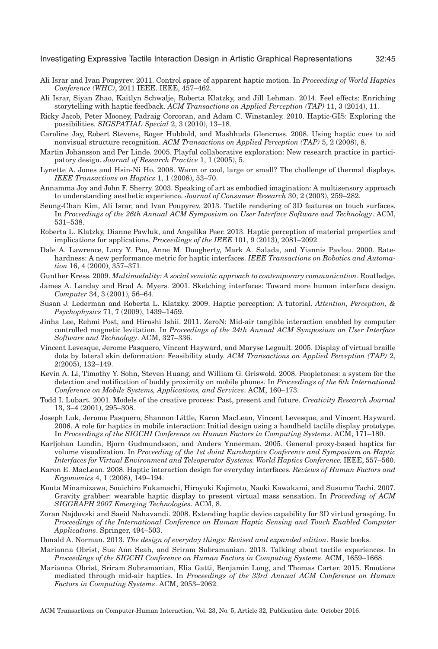- <span id="page-44-10"></span>Ali Israr and Ivan Poupyrev. 2011. Control space of apparent haptic motion. In *Proceeding of World Haptics Conference (WHC)*, 2011 IEEE. IEEE, 457–462.
- <span id="page-44-1"></span>Ali Israr, Siyan Zhao, Kaitlyn Schwalje, Roberta Klatzky, and Jill Lehman. 2014. Feel effects: Enriching storytelling with haptic feedback. *ACM Transactions on Applied Perception (TAP)* 11, 3 (2014), 11.
- <span id="page-44-8"></span>Ricky Jacob, Peter Mooney, Padraig Corcoran, and Adam C. Winstanley. 2010. Haptic-GIS: Exploring the possibilities. *SIGSPATIAL Special* 2, 3 (2010), 13–18.
- <span id="page-44-6"></span>Caroline Jay, Robert Stevens, Roger Hubbold, and Mashhuda Glencross. 2008. Using haptic cues to aid nonvisual structure recognition. *ACM Transactions on Applied Perception (TAP)* 5, 2 (2008), 8.
- <span id="page-44-18"></span>Martin Johansson and Per Linde. 2005. Playful collaborative exploration: New research practice in participatory design. *Journal of Research Practice* 1, 1 (2005), 5.
- Lynette A. Jones and Hsin-Ni Ho. 2008. Warm or cool, large or small? The challenge of thermal displays. *IEEE Transactions on Haptics* 1, 1 (2008), 53–70.
- <span id="page-44-16"></span>Annamma Joy and John F. Sherry. 2003. Speaking of art as embodied imagination: A multisensory approach to understanding aesthetic experience. *Journal of Consumer Research* 30, 2 (2003), 259–282.
- Seung-Chan Kim, Ali Israr, and Ivan Poupyrev. 2013. Tactile rendering of 3D features on touch surfaces. In *Proceedings of the 26th Annual ACM Symposium on User Interface Software and Technology*. ACM, 531–538.
- <span id="page-44-11"></span>Roberta L. Klatzky, Dianne Pawluk, and Angelika Peer. 2013. Haptic perception of material properties and implications for applications. *Proceedings of the IEEE* 101, 9 (2013), 2081–2092.
- <span id="page-44-12"></span>Dale A. Lawrence, Lucy Y. Pao, Anne M. Dougherty, Mark A. Salada, and Yiannis Pavlou. 2000. Ratehardness: A new performance metric for haptic interfaces. *IEEE Transactions on Robotics and Automation* 16, 4 (2000), 357–371.
- <span id="page-44-17"></span>Gunther Kress. 2009. *Multimodality: A social semiotic approach to contemporary communication*. Routledge.
- <span id="page-44-19"></span>James A. Landay and Brad A. Myers. 2001. Sketching interfaces: Toward more human interface design. *Computer* 34, 3 (2001), 56–64.
- <span id="page-44-9"></span>Susan J. Lederman and Roberta L. Klatzky. 2009. Haptic perception: A tutorial. *Attention, Perception, & Psychophysics* 71, 7 (2009), 1439–1459.
- <span id="page-44-20"></span>Jinha Lee, Rehmi Post, and Hiroshi Ishii. 2011. ZeroN: Mid-air tangible interaction enabled by computer controlled magnetic levitation. In *Proceedings of the 24th Annual ACM Symposium on User Interface Software and Technology*. ACM, 327–336.
- <span id="page-44-5"></span>Vincent Levesque, Jerome Pasquero, Vincent Hayward, and Maryse Legault. 2005. Display of virtual braille dots by lateral skin deformation: Feasibility study. *ACM Transactions on Applied Perception (TAP)* 2, 2(2005), 132–149.
- <span id="page-44-15"></span>Kevin A. Li, Timothy Y. Sohn, Steven Huang, and William G. Griswold. 2008. Peopletones: a system for the detection and notification of buddy proximity on mobile phones. In *Proceedings of the 6th International Conference on Mobile Systems, Applications, and Services*. ACM, 160–173.
- <span id="page-44-3"></span>Todd I. Lubart. 2001. Models of the creative process: Past, present and future. *Creativity Research Journal* 13, 3–4 (2001), 295–308.
- <span id="page-44-4"></span>Joseph Luk, Jerome Pasquero, Shannon Little, Karon MacLean, Vincent Levesque, and Vincent Hayward. 2006. A role for haptics in mobile interaction: Initial design using a handheld tactile display prototype. In *Proceedings of the SIGCHI Conference on Human Factors in Computing Systems*. ACM, 171–180.
- <span id="page-44-7"></span>Karljohan Lundin, Bjorn Gudmundsson, and Anders Ynnerman. 2005. General proxy-based haptics for volume visualization. In *Proceeding of the 1st Joint Eurohaptics Conference and Symposium on Haptic Interfaces for Virtual Environment and Teleoperator Systems. World Haptics Conference.* IEEE, 557–560.
- <span id="page-44-2"></span>Karon E. MacLean. 2008. Haptic interaction design for everyday interfaces. *Reviews of Human Factors and Ergonomics* 4, 1 (2008), 149–194.
- <span id="page-44-14"></span>Kouta Minamizawa, Souichiro Fukamachi, Hiroyuki Kajimoto, Naoki Kawakami, and Susumu Tachi. 2007. Gravity grabber: wearable haptic display to present virtual mass sensation. In *Proceeding of ACM SIGGRAPH 2007 Emerging Technologies*. ACM, 8.
- <span id="page-44-13"></span>Zoran Najdovski and Saeid Nahavandi. 2008. Extending haptic device capability for 3D virtual grasping. In *Proceedings of the International Conference on Human Haptic Sensing and Touch Enabled Computer Applications*. Springer, 494–503.
- Donald A. Norman. 2013. *The design of everyday things: Revised and expanded edition*. Basic books.
- <span id="page-44-0"></span>Marianna Obrist, Sue Ann Seah, and Sriram Subramanian. 2013. Talking about tactile experiences. In *Proceedings of the SIGCHI Conference on Human Factors in Computing Systems*. ACM, 1659–1668.
- <span id="page-44-21"></span>Marianna Obrist, Sriram Subramanian, Elia Gatti, Benjamin Long, and Thomas Carter. 2015. Emotions mediated through mid-air haptics. In *Proceedings of the 33rd Annual ACM Conference on Human Factors in Computing Systems*. ACM, 2053–2062.

ACM Transactions on Computer-Human Interaction, Vol. 23, No. 5, Article 32, Publication date: October 2016.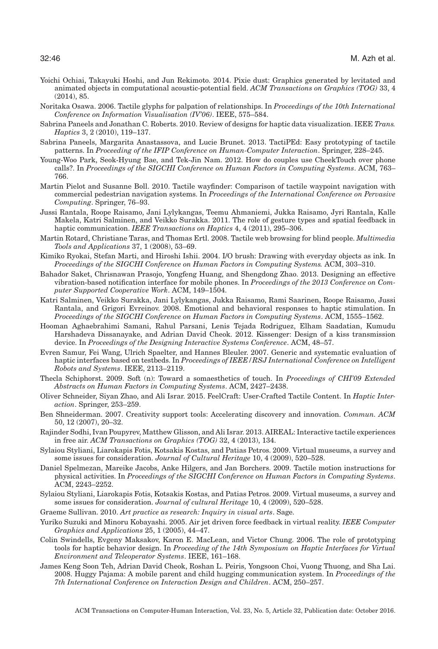- <span id="page-45-15"></span>Yoichi Ochiai, Takayuki Hoshi, and Jun Rekimoto. 2014. Pixie dust: Graphics generated by levitated and animated objects in computational acoustic-potential field. *ACM Transactions on Graphics (TOG)* 33, 4 (2014), 85.
- <span id="page-45-6"></span>Noritaka Osawa. 2006. Tactile glyphs for palpation of relationships. In *Proceedings of the 10th International Conference on Information Visualisation (IV'06)*. IEEE, 575–584.
- <span id="page-45-0"></span>Sabrina Paneels and Jonathan C. Roberts. 2010. Review of designs for haptic data visualization. IEEE *Trans. Haptics* 3, 2 (2010), 119–137.
- <span id="page-45-20"></span>Sabrina Paneels, Margarita Anastassova, and Lucie Brunet. 2013. TactiPEd: Easy prototyping of tactile patterns. In *Proceeding of the IFIP Conference on Human-Computer Interaction*. Springer, 228–245.
- <span id="page-45-7"></span>Young-Woo Park, Seok-Hyung Bae, and Tek-Jin Nam. 2012. How do couples use CheekTouch over phone calls?. In *Proceedings of the SIGCHI Conference on Human Factors in Computing Systems*. ACM, 763– 766.
- Martin Pielot and Susanne Boll. 2010. Tactile wayfinder: Comparison of tactile waypoint navigation with commercial pedestrian navigation systems. In *Proceedings of the International Conference on Pervasive Computing*. Springer, 76–93.
- <span id="page-45-19"></span>Jussi Rantala, Roope Raisamo, Jani Lylykangas, Teemu Ahmaniemi, Jukka Raisamo, Jyri Rantala, Kalle Makela, Katri Salminen, and Veikko Surakka. 2011. The role of gesture types and spatial feedback in haptic communication. *IEEE Transactions on Haptics* 4, 4 (2011), 295–306.
- <span id="page-45-4"></span>Martin Rotard, Christiane Taras, and Thomas Ertl. 2008. Tactile web browsing for blind people. *Multimedia Tools and Applications* 37, 1 (2008), 53–69.
- <span id="page-45-16"></span>Kimiko Ryokai, Stefan Marti, and Hiroshi Ishii. 2004. I/O brush: Drawing with everyday objects as ink. In *Proceedings of the SIGCHI Conference on Human Factors in Computing Systems.* ACM, 303–310.
- <span id="page-45-5"></span>Bahador Saket, Chrisnawan Prasojo, Yongfeng Huang, and Shengdong Zhao. 2013. Designing an effective vibration-based notification interface for mobile phones. In *Proceedings of the 2013 Conference on Computer Supported Cooperative Work*. ACM, 149–1504.
- <span id="page-45-12"></span>Katri Salminen, Veikko Surakka, Jani Lylykangas, Jukka Raisamo, Rami Saarinen, Roope Raisamo, Jussi Rantala, and Grigori Evreinov. 2008. Emotional and behavioral responses to haptic stimulation. In *Proceedings of the SIGCHI Conference on Human Factors in Computing Systems*. ACM, 1555–1562.
- <span id="page-45-13"></span>Hooman Aghaebrahimi Samani, Rahul Parsani, Lenis Tejada Rodriguez, Elham Saadatian, Kumudu Harshadeva Dissanayake, and Adrian David Cheok. 2012. Kissenger: Design of a kiss transmission device. In *Proceedings of the Designing Interactive Systems Conference*. ACM, 48–57.
- <span id="page-45-11"></span>Evren Samur, Fei Wang, Ulrich Spaelter, and Hannes Bleuler. 2007. Generic and systematic evaluation of haptic interfaces based on testbeds. In *Proceedings of IEEE/RSJ International Conference on Intelligent Robots and Systems*. IEEE, 2113–2119.
- <span id="page-45-1"></span>Thecla Schiphorst. 2009. Soft (n): Toward a somaesthetics of touch. In *Proceedings of CHI'09 Extended Abstracts on Human Factors in Computing Systems*. ACM, 2427–2438.
- <span id="page-45-18"></span>Oliver Schneider, Siyan Zhao, and Ali Israr. 2015. FeelCraft: User-Crafted Tactile Content. In *Haptic Interaction*. Springer, 253–259.
- <span id="page-45-3"></span>Ben Shneiderman. 2007. Creativity support tools: Accelerating discovery and innovation. *Commun. ACM* 50, 12 (2007), 20–32.
- <span id="page-45-10"></span>Rajinder Sodhi, Ivan Poupyrev, Matthew Glisson, and Ali Israr. 2013. AIREAL: Interactive tactile experiences in free air. *ACM Transactions on Graphics (TOG)* 32, 4 (2013), 134.
- <span id="page-45-9"></span>Sylaiou Styliani, Liarokapis Fotis, Kotsakis Kostas, and Patias Petros. 2009. Virtual museums, a survey and some issues for consideration. *Journal of Cultural Heritage* 10, 4 (2009), 520–528.
- <span id="page-45-8"></span>Daniel Spelmezan, Mareike Jacobs, Anke Hilgers, and Jan Borchers. 2009. Tactile motion instructions for physical activities. In *Proceedings of the SIGCHI Conference on Human Factors in Computing Systems*. ACM, 2243–2252.
- Sylaiou Styliani, Liarokapis Fotis, Kotsakis Kostas, and Patias Petros. 2009. Virtual museums, a survey and some issues for consideration. *Journal of cultural Heritage* 10, 4 (2009), 520–528.
- <span id="page-45-2"></span>Graeme Sullivan. 2010. *Art practice as research: Inquiry in visual arts*. Sage.
- <span id="page-45-17"></span>Yuriko Suzuki and Minoru Kobayashi. 2005. Air jet driven force feedback in virtual reality. *IEEE Computer Graphics and Applications* 25, 1 (2005), 44–47.
- Colin Swindells, Evgeny Maksakov, Karon E. MacLean, and Victor Chung. 2006. The role of prototyping tools for haptic behavior design. In *Proceeding of the 14th Symposium on Haptic Interfaces for Virtual Environment and Teleoperator Systems*. IEEE, 161–168.
- <span id="page-45-14"></span>James Keng Soon Teh, Adrian David Cheok, Roshan L. Peiris, Yongsoon Choi, Vuong Thuong, and Sha Lai. 2008. Huggy Pajama: A mobile parent and child hugging communication system. In *Proceedings of the 7th International Conference on Interaction Design and Children*. ACM, 250–257.